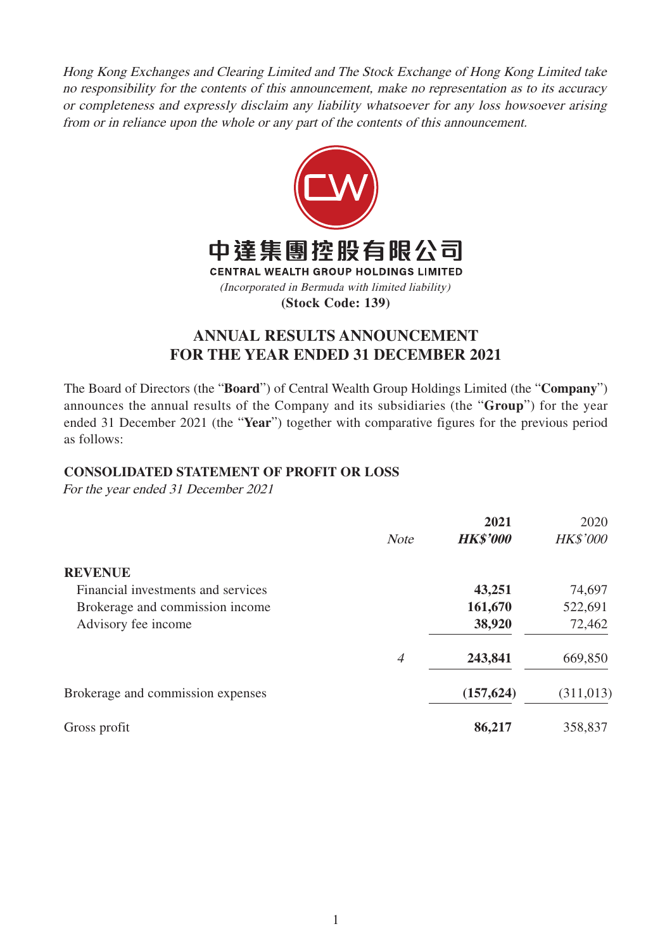Hong Kong Exchanges and Clearing Limited and The Stock Exchange of Hong Kong Limited take no responsibility for the contents of this announcement, make no representation as to its accuracy or completeness and expressly disclaim any liability whatsoever for any loss howsoever arising from or in reliance upon the whole or any part of the contents of this announcement.



# **ANNUAL RESULTS ANNOUNCEMENT FOR THE YEAR ENDED 31 DECEMBER 2021**

The Board of Directors (the "**Board**") of Central Wealth Group Holdings Limited (the "**Company**") announces the annual results of the Company and its subsidiaries (the "**Group**") for the year ended 31 December 2021 (the "**Year**") together with comparative figures for the previous period as follows:

# **CONSOLIDATED STATEMENT OF PROFIT OR LOSS**

|                | 2021            | 2020            |
|----------------|-----------------|-----------------|
| <b>Note</b>    | <b>HK\$'000</b> | <b>HK\$'000</b> |
|                |                 |                 |
|                | 43,251          | 74,697          |
|                | 161,670         | 522,691         |
|                | 38,920          | 72,462          |
| $\overline{4}$ | 243,841         | 669,850         |
|                | (157, 624)      | (311, 013)      |
|                | 86,217          | 358,837         |
|                |                 |                 |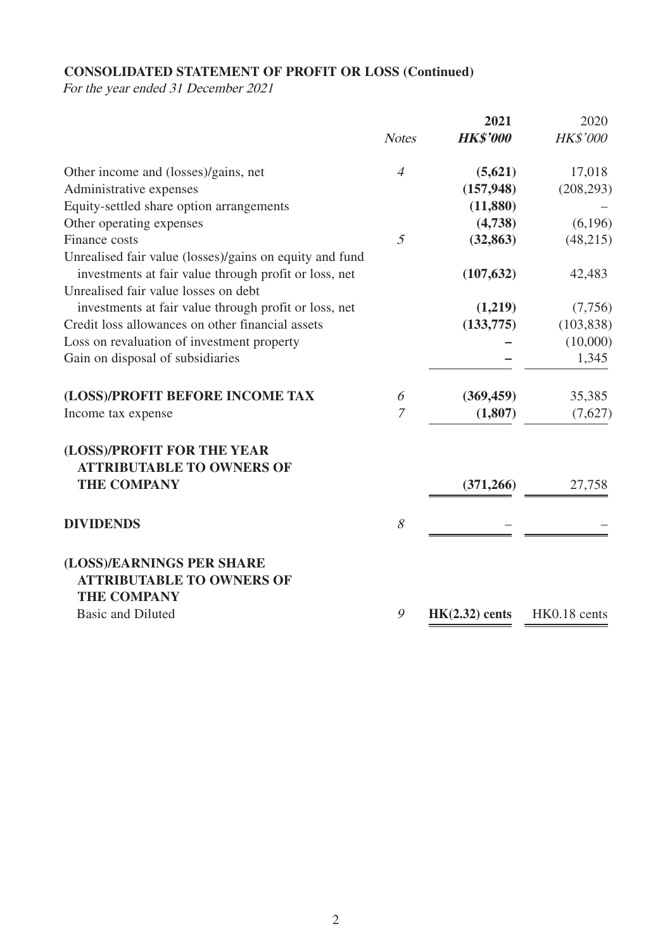# **CONSOLIDATED STATEMENT OF PROFIT OR LOSS (Continued)**

|                                                                                     |                | 2021             | 2020            |
|-------------------------------------------------------------------------------------|----------------|------------------|-----------------|
|                                                                                     | <b>Notes</b>   | <b>HK\$'000</b>  | <b>HK\$'000</b> |
| Other income and (losses)/gains, net                                                | $\overline{4}$ | (5,621)          | 17,018          |
| Administrative expenses                                                             |                | (157, 948)       | (208, 293)      |
| Equity-settled share option arrangements                                            |                | (11,880)         |                 |
| Other operating expenses                                                            |                | (4,738)          | (6,196)         |
| Finance costs                                                                       | 5              | (32, 863)        | (48, 215)       |
| Unrealised fair value (losses)/gains on equity and fund                             |                |                  |                 |
| investments at fair value through profit or loss, net                               |                | (107, 632)       | 42,483          |
| Unrealised fair value losses on debt                                                |                |                  |                 |
| investments at fair value through profit or loss, net                               |                | (1,219)          | (7,756)         |
| Credit loss allowances on other financial assets                                    |                | (133, 775)       | (103, 838)      |
| Loss on revaluation of investment property                                          |                |                  | (10,000)        |
| Gain on disposal of subsidiaries                                                    |                |                  | 1,345           |
| (LOSS)/PROFIT BEFORE INCOME TAX                                                     | 6              | (369, 459)       | 35,385          |
| Income tax expense                                                                  | $\overline{7}$ | (1, 807)         | (7,627)         |
| (LOSS)/PROFIT FOR THE YEAR<br><b>ATTRIBUTABLE TO OWNERS OF</b>                      |                |                  |                 |
| <b>THE COMPANY</b>                                                                  |                | (371, 266)       | 27,758          |
| <b>DIVIDENDS</b>                                                                    | 8              |                  |                 |
| (LOSS)/EARNINGS PER SHARE<br><b>ATTRIBUTABLE TO OWNERS OF</b><br><b>THE COMPANY</b> |                |                  |                 |
| <b>Basic and Diluted</b>                                                            | 9              | $HK(2.32)$ cents | HK0.18 cents    |
|                                                                                     |                |                  |                 |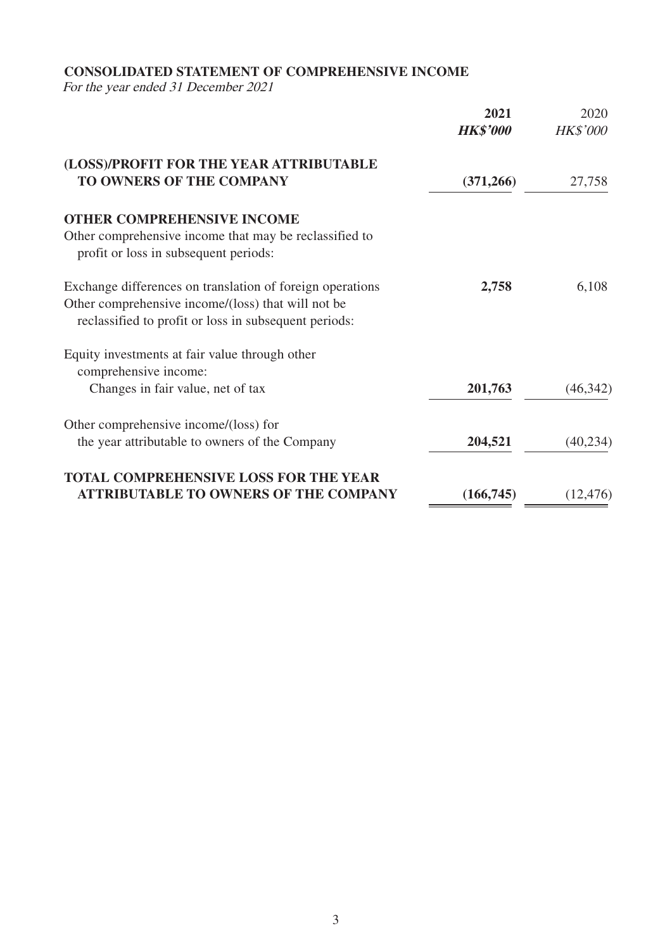# **CONSOLIDATED STATEMENT OF COMPREHENSIVE INCOME**

|                                                                                                             | 2021<br><b>HK\$'000</b> | 2020<br><b>HK\$'000</b> |
|-------------------------------------------------------------------------------------------------------------|-------------------------|-------------------------|
| (LOSS)/PROFIT FOR THE YEAR ATTRIBUTABLE<br>TO OWNERS OF THE COMPANY                                         |                         |                         |
|                                                                                                             | (371, 266)              | 27,758                  |
| <b>OTHER COMPREHENSIVE INCOME</b>                                                                           |                         |                         |
| Other comprehensive income that may be reclassified to<br>profit or loss in subsequent periods:             |                         |                         |
| Exchange differences on translation of foreign operations                                                   | 2,758                   | 6,108                   |
| Other comprehensive income/(loss) that will not be<br>reclassified to profit or loss in subsequent periods: |                         |                         |
| Equity investments at fair value through other                                                              |                         |                         |
| comprehensive income:                                                                                       |                         |                         |
| Changes in fair value, net of tax                                                                           | 201,763                 | (46, 342)               |
| Other comprehensive income/(loss) for                                                                       |                         |                         |
| the year attributable to owners of the Company                                                              | 204,521                 | (40, 234)               |
| <b>TOTAL COMPREHENSIVE LOSS FOR THE YEAR</b>                                                                |                         |                         |
| <b>ATTRIBUTABLE TO OWNERS OF THE COMPANY</b>                                                                | (166, 745)              | (12, 476)               |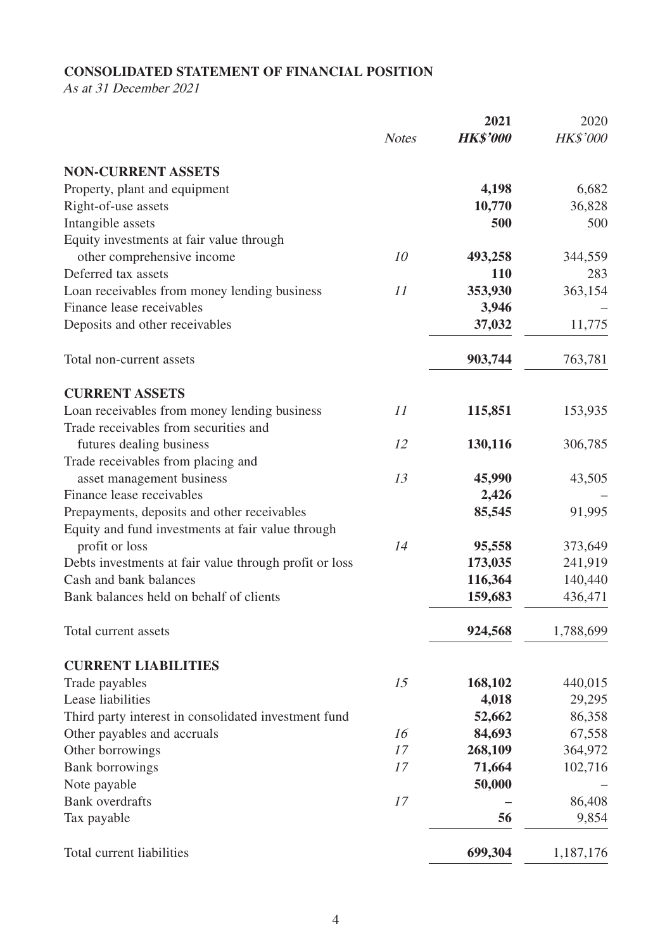# **CONSOLIDATED STATEMENT OF FINANCIAL POSITION**

As at 31 December 2021

|                                                        |              | 2021            | 2020            |
|--------------------------------------------------------|--------------|-----------------|-----------------|
|                                                        | <b>Notes</b> | <b>HK\$'000</b> | <b>HK\$'000</b> |
| <b>NON-CURRENT ASSETS</b>                              |              |                 |                 |
| Property, plant and equipment                          |              | 4,198           | 6,682           |
| Right-of-use assets                                    |              | 10,770          | 36,828          |
| Intangible assets                                      |              | 500             | 500             |
| Equity investments at fair value through               |              |                 |                 |
| other comprehensive income                             | 10           | 493,258         | 344,559         |
| Deferred tax assets                                    |              | <b>110</b>      | 283             |
| Loan receivables from money lending business           | 11           | 353,930         | 363,154         |
| Finance lease receivables                              |              | 3,946           |                 |
| Deposits and other receivables                         |              | 37,032          | 11,775          |
| Total non-current assets                               |              | 903,744         | 763,781         |
| <b>CURRENT ASSETS</b>                                  |              |                 |                 |
| Loan receivables from money lending business           | 11           | 115,851         | 153,935         |
| Trade receivables from securities and                  |              |                 |                 |
| futures dealing business                               | 12           | 130,116         | 306,785         |
| Trade receivables from placing and                     |              |                 |                 |
| asset management business                              | 13           | 45,990          | 43,505          |
| Finance lease receivables                              |              | 2,426           |                 |
| Prepayments, deposits and other receivables            |              | 85,545          | 91,995          |
| Equity and fund investments at fair value through      |              |                 |                 |
| profit or loss                                         | 14           | 95,558          | 373,649         |
| Debts investments at fair value through profit or loss |              | 173,035         | 241,919         |
| Cash and bank balances                                 |              | 116,364         | 140,440         |
| Bank balances held on behalf of clients                |              | 159,683         | 436,471         |
| Total current assets                                   |              | 924,568         | 1,788,699       |
| <b>CURRENT LIABILITIES</b>                             |              |                 |                 |
| Trade payables                                         | 15           | 168,102         | 440,015         |
| Lease liabilities                                      |              | 4,018           | 29,295          |
| Third party interest in consolidated investment fund   |              | 52,662          | 86,358          |
| Other payables and accruals                            | 16           | 84,693          | 67,558          |
| Other borrowings                                       | 17           | 268,109         | 364,972         |
| <b>Bank borrowings</b>                                 | 17           | 71,664          | 102,716         |
| Note payable                                           |              | 50,000          |                 |
| <b>Bank</b> overdrafts                                 | 17           |                 | 86,408          |
| Tax payable                                            |              | 56              | 9,854           |
| Total current liabilities                              |              | 699,304         | 1,187,176       |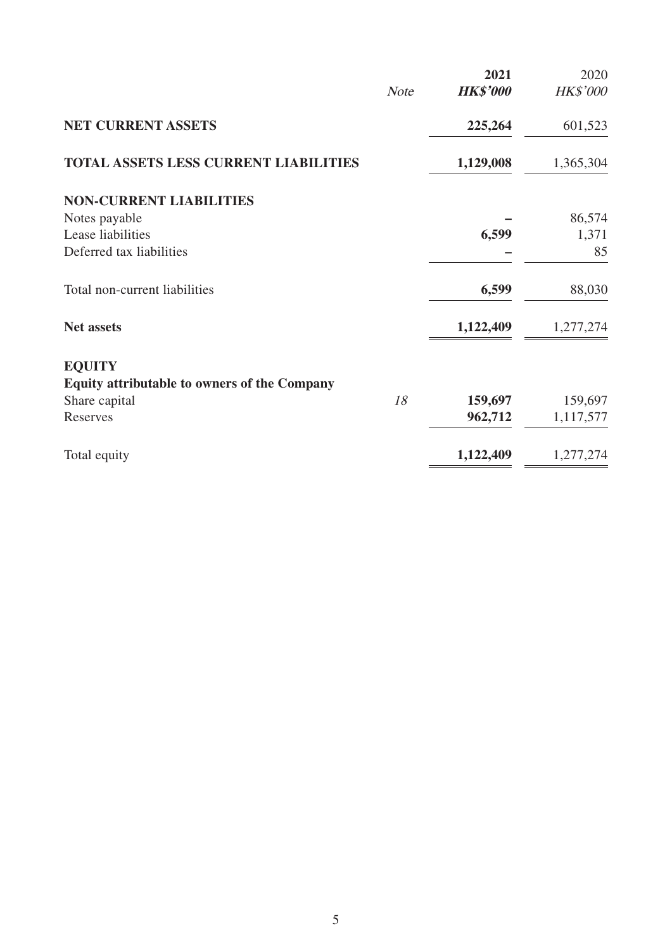|                                                     |             | 2021            | 2020      |
|-----------------------------------------------------|-------------|-----------------|-----------|
|                                                     | <b>Note</b> | <b>HK\$'000</b> | HK\$'000  |
| <b>NET CURRENT ASSETS</b>                           |             | 225,264         | 601,523   |
| <b>TOTAL ASSETS LESS CURRENT LIABILITIES</b>        |             | 1,129,008       | 1,365,304 |
| <b>NON-CURRENT LIABILITIES</b>                      |             |                 |           |
| Notes payable                                       |             |                 | 86,574    |
| Lease liabilities                                   |             | 6,599           | 1,371     |
| Deferred tax liabilities                            |             |                 | 85        |
| Total non-current liabilities                       |             | 6,599           | 88,030    |
| <b>Net assets</b>                                   |             | 1,122,409       | 1,277,274 |
| <b>EQUITY</b>                                       |             |                 |           |
| <b>Equity attributable to owners of the Company</b> |             |                 |           |
| Share capital                                       | 18          | 159,697         | 159,697   |
| Reserves                                            |             | 962,712         | 1,117,577 |
| Total equity                                        |             | 1,122,409       | 1,277,274 |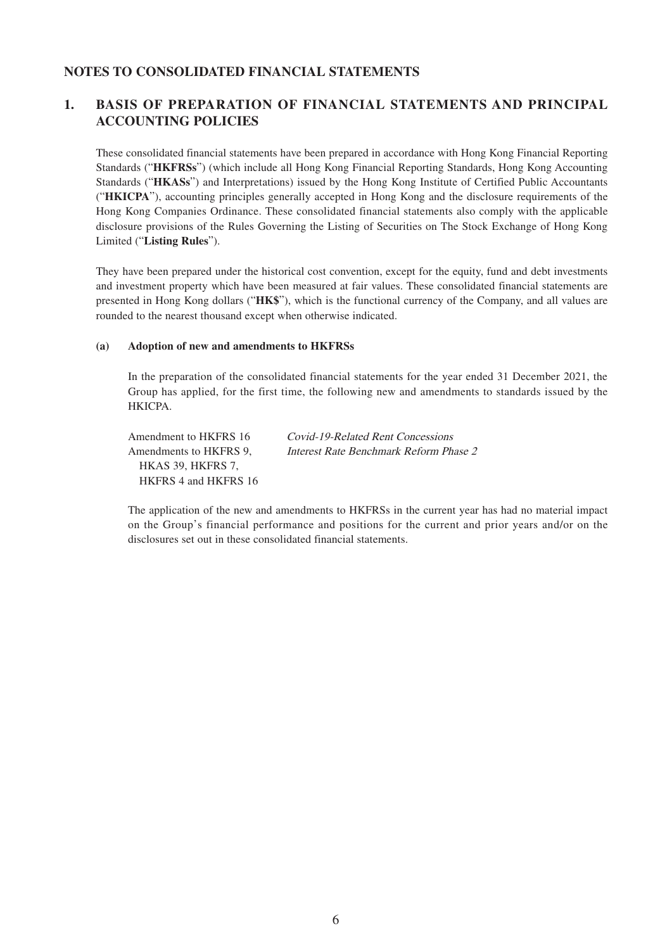## **NOTES TO CONSOLIDATED FINANCIAL STATEMENTS**

# **1. BASIS OF PREPARATION OF FINANCIAL STATEMENTS AND PRINCIPAL ACCOUNTING POLICIES**

These consolidated financial statements have been prepared in accordance with Hong Kong Financial Reporting Standards ("**HKFRSs**") (which include all Hong Kong Financial Reporting Standards, Hong Kong Accounting Standards ("**HKASs**") and Interpretations) issued by the Hong Kong Institute of Certified Public Accountants ("**HKICPA**"), accounting principles generally accepted in Hong Kong and the disclosure requirements of the Hong Kong Companies Ordinance. These consolidated financial statements also comply with the applicable disclosure provisions of the Rules Governing the Listing of Securities on The Stock Exchange of Hong Kong Limited ("**Listing Rules**").

They have been prepared under the historical cost convention, except for the equity, fund and debt investments and investment property which have been measured at fair values. These consolidated financial statements are presented in Hong Kong dollars ("**HK\$**"), which is the functional currency of the Company, and all values are rounded to the nearest thousand except when otherwise indicated.

#### **(a) Adoption of new and amendments to HKFRSs**

In the preparation of the consolidated financial statements for the year ended 31 December 2021, the Group has applied, for the first time, the following new and amendments to standards issued by the HKICPA.

Amendments to HKFRS 9, HKAS 39, HKFRS 7, HKFRS 4 and HKFRS 16

Amendment to HKFRS 16 Covid-19-Related Rent Concessions Interest Rate Benchmark Reform Phase 2

The application of the new and amendments to HKFRSs in the current year has had no material impact on the Group's financial performance and positions for the current and prior years and/or on the disclosures set out in these consolidated financial statements.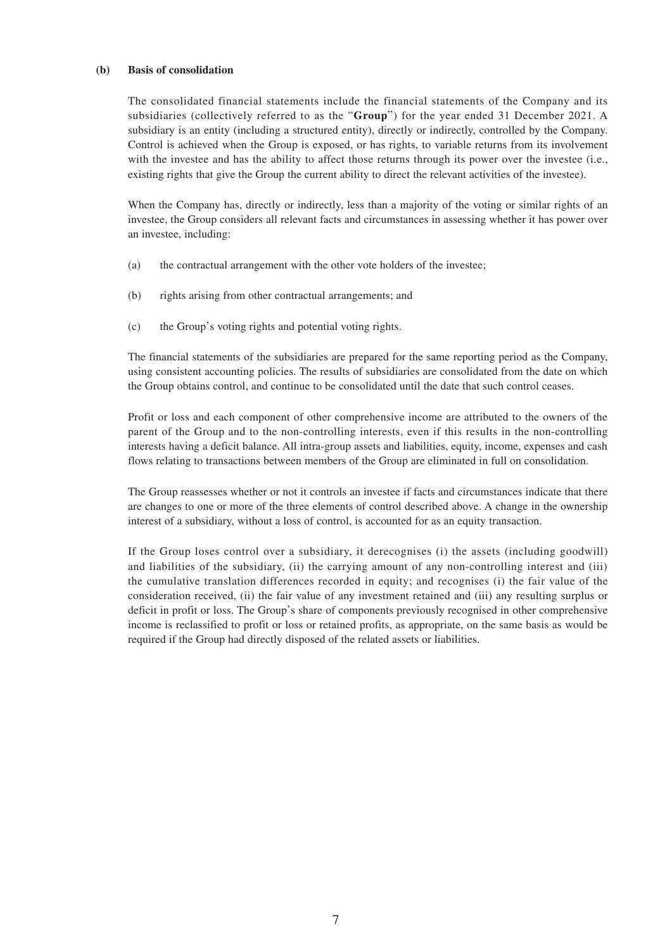#### **(b) Basis of consolidation**

The consolidated financial statements include the financial statements of the Company and its subsidiaries (collectively referred to as the "**Group**") for the year ended 31 December 2021. A subsidiary is an entity (including a structured entity), directly or indirectly, controlled by the Company. Control is achieved when the Group is exposed, or has rights, to variable returns from its involvement with the investee and has the ability to affect those returns through its power over the investee (i.e., existing rights that give the Group the current ability to direct the relevant activities of the investee).

When the Company has, directly or indirectly, less than a majority of the voting or similar rights of an investee, the Group considers all relevant facts and circumstances in assessing whether it has power over an investee, including:

- (a) the contractual arrangement with the other vote holders of the investee;
- (b) rights arising from other contractual arrangements; and
- (c) the Group's voting rights and potential voting rights.

The financial statements of the subsidiaries are prepared for the same reporting period as the Company, using consistent accounting policies. The results of subsidiaries are consolidated from the date on which the Group obtains control, and continue to be consolidated until the date that such control ceases.

Profit or loss and each component of other comprehensive income are attributed to the owners of the parent of the Group and to the non-controlling interests, even if this results in the non-controlling interests having a deficit balance. All intra-group assets and liabilities, equity, income, expenses and cash flows relating to transactions between members of the Group are eliminated in full on consolidation.

The Group reassesses whether or not it controls an investee if facts and circumstances indicate that there are changes to one or more of the three elements of control described above. A change in the ownership interest of a subsidiary, without a loss of control, is accounted for as an equity transaction.

If the Group loses control over a subsidiary, it derecognises (i) the assets (including goodwill) and liabilities of the subsidiary, (ii) the carrying amount of any non-controlling interest and (iii) the cumulative translation differences recorded in equity; and recognises (i) the fair value of the consideration received, (ii) the fair value of any investment retained and (iii) any resulting surplus or deficit in profit or loss. The Group's share of components previously recognised in other comprehensive income is reclassified to profit or loss or retained profits, as appropriate, on the same basis as would be required if the Group had directly disposed of the related assets or liabilities.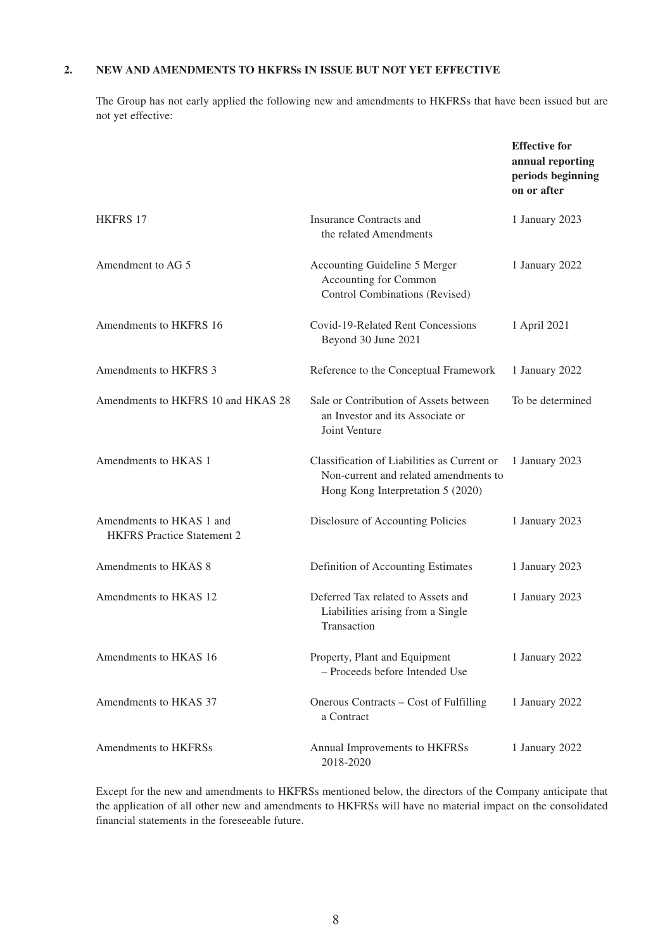### **2. NEW AND AMENDMENTS TO HKFRSs IN ISSUE BUT NOT YET EFFECTIVE**

The Group has not early applied the following new and amendments to HKFRSs that have been issued but are not yet effective:

|                                                               |                                                                                                                           | <b>Effective for</b><br>annual reporting<br>periods beginning<br>on or after |
|---------------------------------------------------------------|---------------------------------------------------------------------------------------------------------------------------|------------------------------------------------------------------------------|
| <b>HKFRS 17</b>                                               | Insurance Contracts and<br>the related Amendments                                                                         | 1 January 2023                                                               |
| Amendment to AG 5                                             | Accounting Guideline 5 Merger<br>Accounting for Common<br>Control Combinations (Revised)                                  | 1 January 2022                                                               |
| Amendments to HKFRS 16                                        | Covid-19-Related Rent Concessions<br>Beyond 30 June 2021                                                                  | 1 April 2021                                                                 |
| Amendments to HKFRS 3                                         | Reference to the Conceptual Framework                                                                                     | 1 January 2022                                                               |
| Amendments to HKFRS 10 and HKAS 28                            | Sale or Contribution of Assets between<br>an Investor and its Associate or<br>Joint Venture                               | To be determined                                                             |
| Amendments to HKAS 1                                          | Classification of Liabilities as Current or<br>Non-current and related amendments to<br>Hong Kong Interpretation 5 (2020) | 1 January 2023                                                               |
| Amendments to HKAS 1 and<br><b>HKFRS</b> Practice Statement 2 | Disclosure of Accounting Policies                                                                                         | 1 January 2023                                                               |
| Amendments to HKAS 8                                          | Definition of Accounting Estimates                                                                                        | 1 January 2023                                                               |
| Amendments to HKAS 12                                         | Deferred Tax related to Assets and<br>Liabilities arising from a Single<br>Transaction                                    | 1 January 2023                                                               |
| Amendments to HKAS 16                                         | Property, Plant and Equipment<br>- Proceeds before Intended Use                                                           | 1 January 2022                                                               |
| Amendments to HKAS 37                                         | Onerous Contracts – Cost of Fulfilling<br>a Contract                                                                      | 1 January 2022                                                               |
| Amendments to HKFRSs                                          | Annual Improvements to HKFRSs<br>2018-2020                                                                                | 1 January 2022                                                               |

Except for the new and amendments to HKFRSs mentioned below, the directors of the Company anticipate that the application of all other new and amendments to HKFRSs will have no material impact on the consolidated financial statements in the foreseeable future.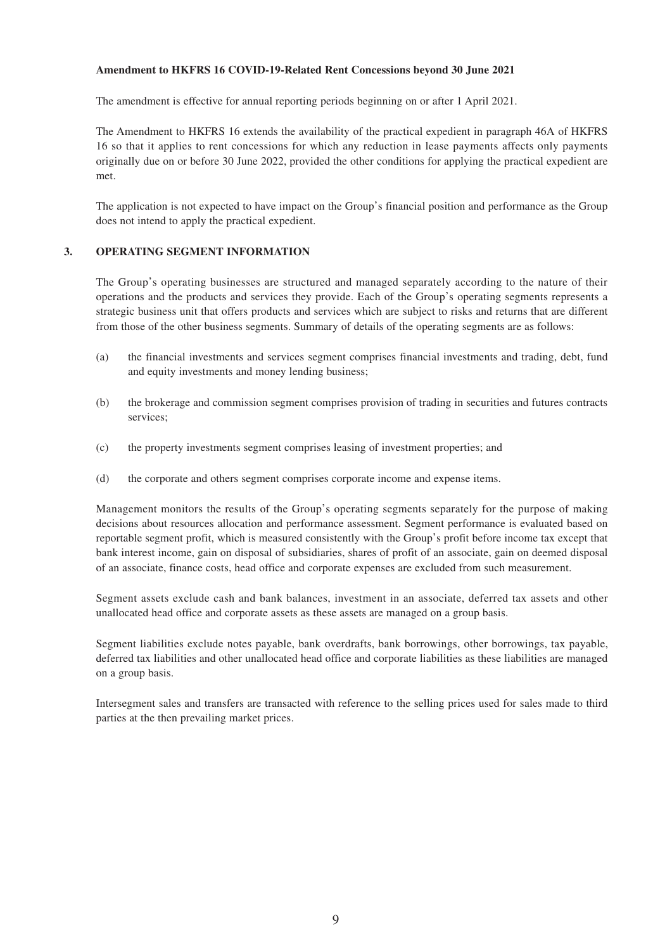#### **Amendment to HKFRS 16 COVID-19-Related Rent Concessions beyond 30 June 2021**

The amendment is effective for annual reporting periods beginning on or after 1 April 2021.

The Amendment to HKFRS 16 extends the availability of the practical expedient in paragraph 46A of HKFRS 16 so that it applies to rent concessions for which any reduction in lease payments affects only payments originally due on or before 30 June 2022, provided the other conditions for applying the practical expedient are met.

The application is not expected to have impact on the Group's financial position and performance as the Group does not intend to apply the practical expedient.

## **3. OPERATING SEGMENT INFORMATION**

The Group's operating businesses are structured and managed separately according to the nature of their operations and the products and services they provide. Each of the Group's operating segments represents a strategic business unit that offers products and services which are subject to risks and returns that are different from those of the other business segments. Summary of details of the operating segments are as follows:

- (a) the financial investments and services segment comprises financial investments and trading, debt, fund and equity investments and money lending business;
- (b) the brokerage and commission segment comprises provision of trading in securities and futures contracts services;
- (c) the property investments segment comprises leasing of investment properties; and
- (d) the corporate and others segment comprises corporate income and expense items.

Management monitors the results of the Group's operating segments separately for the purpose of making decisions about resources allocation and performance assessment. Segment performance is evaluated based on reportable segment profit, which is measured consistently with the Group's profit before income tax except that bank interest income, gain on disposal of subsidiaries, shares of profit of an associate, gain on deemed disposal of an associate, finance costs, head office and corporate expenses are excluded from such measurement.

Segment assets exclude cash and bank balances, investment in an associate, deferred tax assets and other unallocated head office and corporate assets as these assets are managed on a group basis.

Segment liabilities exclude notes payable, bank overdrafts, bank borrowings, other borrowings, tax payable, deferred tax liabilities and other unallocated head office and corporate liabilities as these liabilities are managed on a group basis.

Intersegment sales and transfers are transacted with reference to the selling prices used for sales made to third parties at the then prevailing market prices.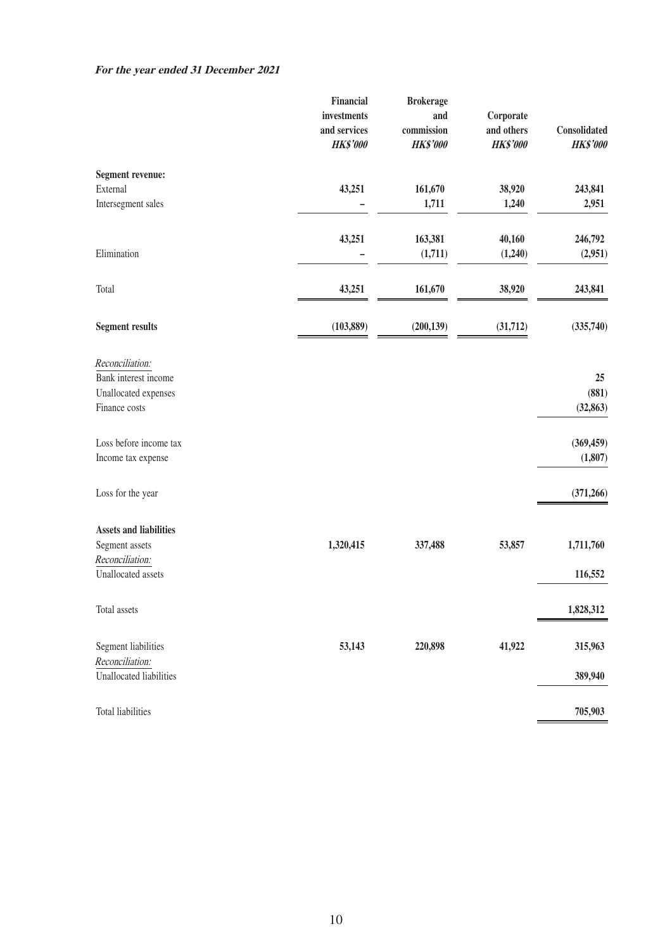|                                                   | Financial       | <b>Brokerage</b> |                 |                 |
|---------------------------------------------------|-----------------|------------------|-----------------|-----------------|
|                                                   | investments     | and              | Corporate       |                 |
|                                                   | and services    | commission       | and others      | Consolidated    |
|                                                   | <b>HK\$'000</b> | <b>HK\$'000</b>  | <b>HK\$'000</b> | <b>HK\$'000</b> |
| <b>Segment revenue:</b>                           |                 |                  |                 |                 |
| External                                          | 43,251          | 161,670          | 38,920          | 243,841         |
| Intersegment sales                                |                 | 1,711            | 1,240           | 2,951           |
|                                                   | 43,251          | 163,381          | 40,160          | 246,792         |
| Elimination                                       |                 | (1,711)          | (1,240)         | (2,951)         |
| Total                                             | 43,251          | 161,670          | 38,920          | 243,841         |
| <b>Segment results</b>                            | (103, 889)      | (200, 139)       | (31, 712)       | (335,740)       |
|                                                   |                 |                  |                 |                 |
| Reconciliation:                                   |                 |                  |                 |                 |
| Bank interest income                              |                 |                  |                 | 25<br>(881)     |
| Unallocated expenses                              |                 |                  |                 |                 |
| Finance costs                                     |                 |                  |                 | (32, 863)       |
| Loss before income tax                            |                 |                  |                 | (369, 459)      |
| Income tax expense                                |                 |                  |                 | (1,807)         |
| Loss for the year                                 |                 |                  |                 | (371, 266)      |
| <b>Assets and liabilities</b>                     |                 |                  |                 |                 |
| Segment assets                                    | 1,320,415       | 337,488          | 53,857          | 1,711,760       |
| Reconciliation:                                   |                 |                  |                 |                 |
| Unallocated assets                                |                 |                  |                 | 116,552         |
| Total assets                                      |                 |                  |                 | 1,828,312       |
| Segment liabilities                               | 53,143          | 220,898          | 41,922          | 315,963         |
| Reconciliation:<br><b>Unallocated liabilities</b> |                 |                  |                 | 389,940         |
|                                                   |                 |                  |                 |                 |
| <b>Total liabilities</b>                          |                 |                  |                 | 705,903         |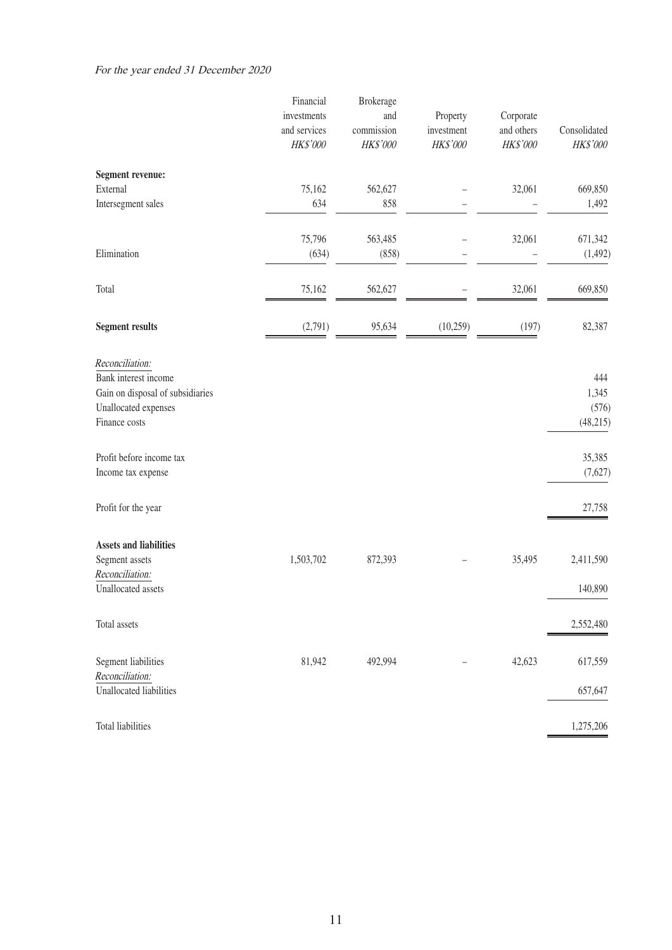|                                                                                                                      | Financial<br>investments<br>and services | <b>Brokerage</b><br>and<br>commission | Property<br>investment | Corporate<br>and others | Consolidated                       |
|----------------------------------------------------------------------------------------------------------------------|------------------------------------------|---------------------------------------|------------------------|-------------------------|------------------------------------|
|                                                                                                                      | $H K\$'000$                              | HK\$'000                              | HK\$'000               | HK\$'000                | HK\$'000                           |
| <b>Segment revenue:</b>                                                                                              |                                          |                                       |                        |                         |                                    |
| External                                                                                                             | 75,162                                   | 562,627                               |                        | 32,061                  | 669,850                            |
| Intersegment sales                                                                                                   | 634                                      | 858                                   |                        |                         | 1,492                              |
|                                                                                                                      | 75,796                                   | 563,485                               |                        | 32,061                  | 671,342                            |
| Elimination                                                                                                          | (634)                                    | (858)                                 |                        |                         | (1, 492)                           |
| Total                                                                                                                | 75,162                                   | 562,627                               |                        | 32,061                  | 669,850                            |
| <b>Segment results</b>                                                                                               | (2,791)                                  | 95,634                                | (10,259)               | (197)                   | 82,387                             |
| Reconciliation:<br>Bank interest income<br>Gain on disposal of subsidiaries<br>Unallocated expenses<br>Finance costs |                                          |                                       |                        |                         | 444<br>1,345<br>(576)<br>(48, 215) |
| Profit before income tax<br>Income tax expense                                                                       |                                          |                                       |                        |                         | 35,385<br>(7,627)                  |
| Profit for the year                                                                                                  |                                          |                                       |                        |                         | 27,758                             |
| <b>Assets and liabilities</b>                                                                                        |                                          |                                       |                        |                         |                                    |
| Segment assets                                                                                                       | 1,503,702                                | 872,393                               |                        | 35,495                  | 2,411,590                          |
| Reconciliation:<br>Unallocated assets                                                                                |                                          |                                       |                        |                         | 140,890                            |
| Total assets                                                                                                         |                                          |                                       |                        |                         | 2,552,480                          |
| Segment liabilities<br>Reconciliation:                                                                               | 81,942                                   | 492,994                               |                        | 42,623                  | 617,559                            |
| <b>Unallocated liabilities</b>                                                                                       |                                          |                                       |                        |                         | 657,647                            |
| <b>Total liabilities</b>                                                                                             |                                          |                                       |                        |                         | 1,275,206                          |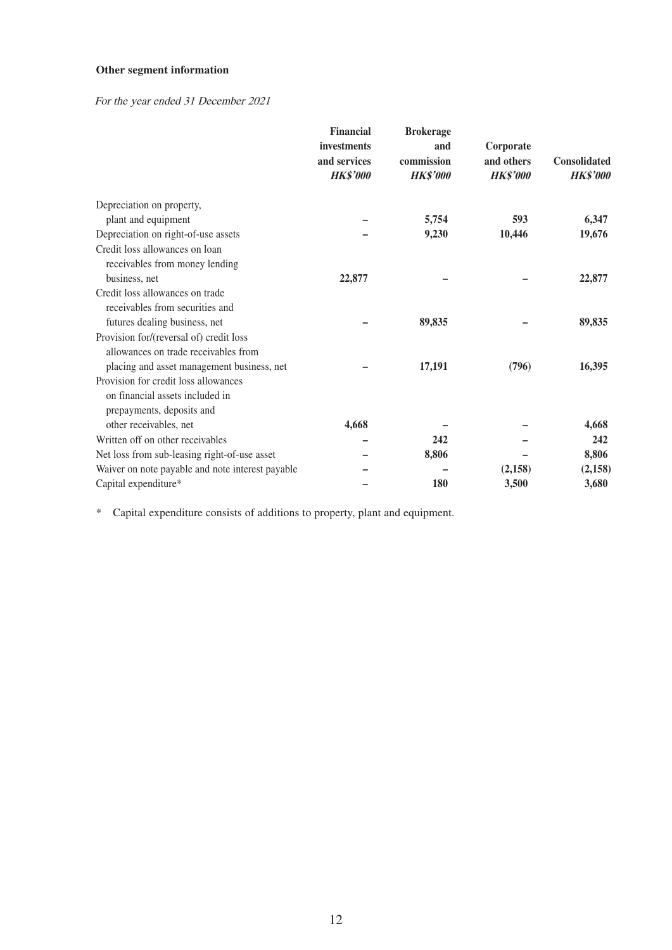# **Other segment information**

# For the year ended 31 December 2021

|                                                  | <b>Financial</b><br>investments<br>and services<br><b>HK\$'000</b> | <b>Brokerage</b><br>and<br>commission<br><b>HK\$'000</b> | Corporate<br>and others<br><b>HK\$'000</b> | <b>Consolidated</b><br><b>HK\$'000</b> |
|--------------------------------------------------|--------------------------------------------------------------------|----------------------------------------------------------|--------------------------------------------|----------------------------------------|
| Depreciation on property,                        |                                                                    |                                                          |                                            |                                        |
| plant and equipment                              |                                                                    | 5,754                                                    | 593                                        | 6,347                                  |
| Depreciation on right-of-use assets              |                                                                    | 9,230                                                    | 10,446                                     | 19,676                                 |
| Credit loss allowances on loan                   |                                                                    |                                                          |                                            |                                        |
| receivables from money lending                   |                                                                    |                                                          |                                            |                                        |
| business, net                                    | 22,877                                                             |                                                          |                                            | 22,877                                 |
| Credit loss allowances on trade                  |                                                                    |                                                          |                                            |                                        |
| receivables from securities and                  |                                                                    |                                                          |                                            |                                        |
| futures dealing business, net                    |                                                                    | 89,835                                                   |                                            | 89,835                                 |
| Provision for/(reversal of) credit loss          |                                                                    |                                                          |                                            |                                        |
| allowances on trade receivables from             |                                                                    |                                                          |                                            |                                        |
| placing and asset management business, net       |                                                                    | 17,191                                                   | (796)                                      | 16,395                                 |
| Provision for credit loss allowances             |                                                                    |                                                          |                                            |                                        |
| on financial assets included in                  |                                                                    |                                                          |                                            |                                        |
| prepayments, deposits and                        |                                                                    |                                                          |                                            |                                        |
| other receivables, net                           | 4,668                                                              |                                                          |                                            | 4,668                                  |
| Written off on other receivables                 |                                                                    | 242                                                      |                                            | 242                                    |
| Net loss from sub-leasing right-of-use asset     |                                                                    | 8,806                                                    |                                            | 8,806                                  |
| Waiver on note payable and note interest payable |                                                                    |                                                          | (2,158)                                    | (2,158)                                |
| Capital expenditure*                             |                                                                    | 180                                                      | 3,500                                      | 3,680                                  |

\* Capital expenditure consists of additions to property, plant and equipment.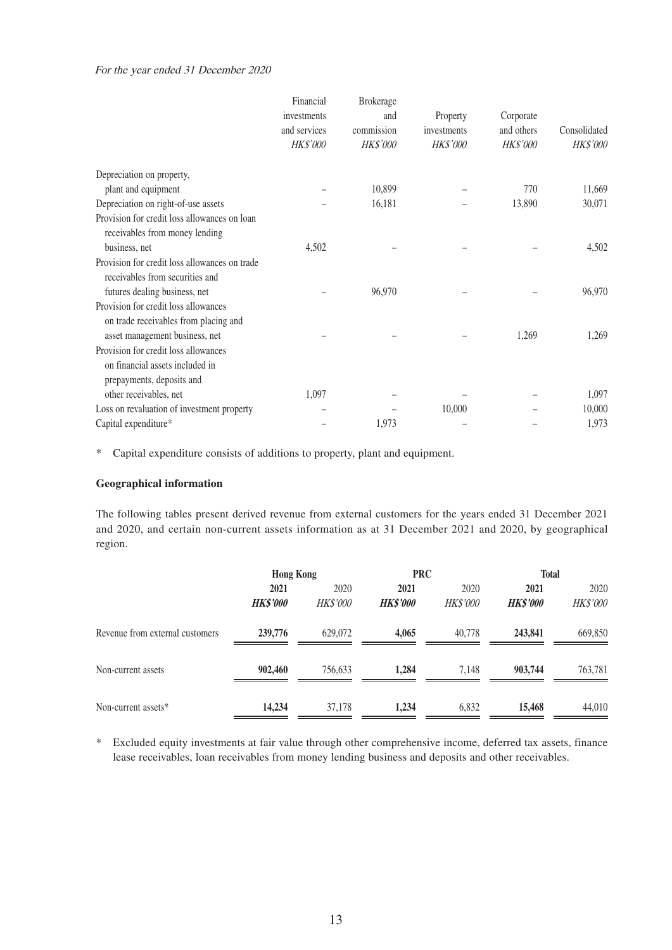#### For the year ended 31 December 2020

|                                                                                  | Financial<br>investments<br>and services<br>HK\$'000 | <b>Brokerage</b><br>and<br>commission<br><b>HK\$'000</b> | Property<br>investments<br>HK\$'000 | Corporate<br>and others<br><b>HK\$'000</b> | Consolidated<br><b>HK\$'000</b> |
|----------------------------------------------------------------------------------|------------------------------------------------------|----------------------------------------------------------|-------------------------------------|--------------------------------------------|---------------------------------|
| Depreciation on property,                                                        |                                                      |                                                          |                                     |                                            |                                 |
| plant and equipment                                                              |                                                      | 10,899                                                   |                                     | 770                                        | 11,669                          |
| Depreciation on right-of-use assets                                              |                                                      | 16,181                                                   |                                     | 13,890                                     | 30,071                          |
| Provision for credit loss allowances on loan<br>receivables from money lending   |                                                      |                                                          |                                     |                                            |                                 |
| business, net                                                                    | 4,502                                                |                                                          |                                     |                                            | 4,502                           |
| Provision for credit loss allowances on trade<br>receivables from securities and |                                                      |                                                          |                                     |                                            |                                 |
| futures dealing business, net                                                    |                                                      | 96,970                                                   |                                     |                                            | 96,970                          |
| Provision for credit loss allowances<br>on trade receivables from placing and    |                                                      |                                                          |                                     |                                            |                                 |
| asset management business, net                                                   |                                                      |                                                          |                                     | 1,269                                      | 1,269                           |
| Provision for credit loss allowances                                             |                                                      |                                                          |                                     |                                            |                                 |
| on financial assets included in<br>prepayments, deposits and                     |                                                      |                                                          |                                     |                                            |                                 |
| other receivables, net                                                           | 1,097                                                |                                                          |                                     |                                            | 1,097                           |
| Loss on revaluation of investment property                                       |                                                      |                                                          | 10,000                              |                                            | 10,000                          |
| Capital expenditure*                                                             |                                                      | 1,973                                                    |                                     |                                            | 1,973                           |

\* Capital expenditure consists of additions to property, plant and equipment.

### **Geographical information**

The following tables present derived revenue from external customers for the years ended 31 December 2021 and 2020, and certain non-current assets information as at 31 December 2021 and 2020, by geographical region.

|                                 | <b>Hong Kong</b> |                 | <b>PRC</b>      |                 | <b>Total</b>    |          |
|---------------------------------|------------------|-----------------|-----------------|-----------------|-----------------|----------|
|                                 | 2021             | 2020            | 2021            | 2020            |                 | 2020     |
|                                 | <b>HK\$'000</b>  | <b>HK\$'000</b> | <b>HK\$'000</b> | <b>HK\$'000</b> | <b>HK\$'000</b> | HK\$'000 |
| Revenue from external customers | 239,776          | 629,072         | 4.065           | 40,778          | 243,841         | 669,850  |
| Non-current assets              | 902,460          | 756,633         | 1.284           | 7.148           | 903,744         | 763,781  |
| Non-current assets*             | 14,234           | 37,178          | 1,234           | 6,832           | 15,468          | 44,010   |

\* Excluded equity investments at fair value through other comprehensive income, deferred tax assets, finance lease receivables, loan receivables from money lending business and deposits and other receivables.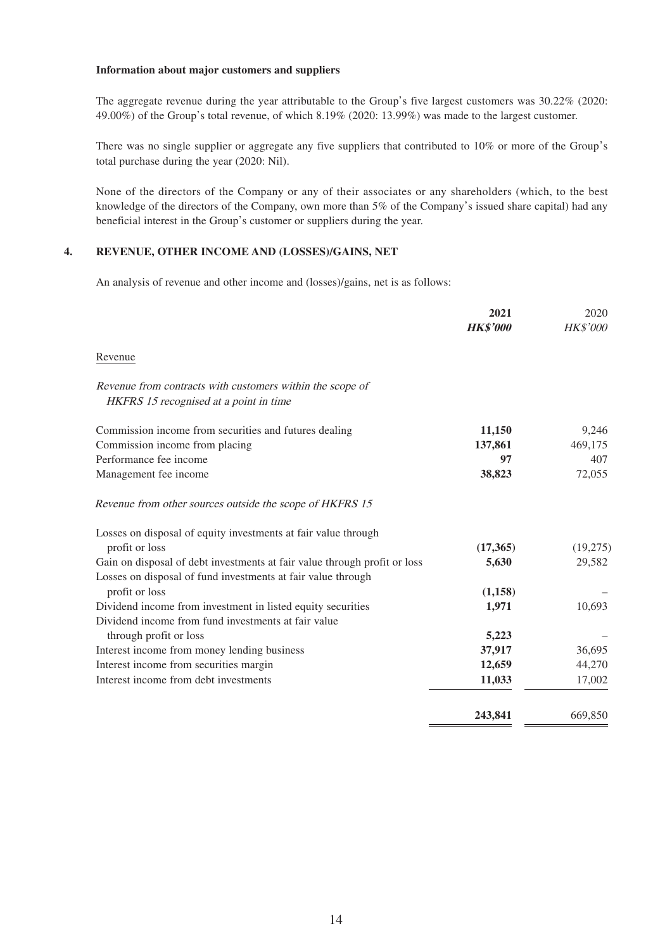#### **Information about major customers and suppliers**

The aggregate revenue during the year attributable to the Group's five largest customers was 30.22% (2020: 49.00%) of the Group's total revenue, of which 8.19% (2020: 13.99%) was made to the largest customer.

There was no single supplier or aggregate any five suppliers that contributed to 10% or more of the Group's total purchase during the year (2020: Nil).

None of the directors of the Company or any of their associates or any shareholders (which, to the best knowledge of the directors of the Company, own more than 5% of the Company's issued share capital) had any beneficial interest in the Group's customer or suppliers during the year.

### **4. REVENUE, OTHER INCOME AND (LOSSES)/GAINS, NET**

An analysis of revenue and other income and (losses)/gains, net is as follows:

|                                                                                                     | 2021            | 2020            |
|-----------------------------------------------------------------------------------------------------|-----------------|-----------------|
|                                                                                                     | <b>HK\$'000</b> | <b>HK\$'000</b> |
| Revenue                                                                                             |                 |                 |
| Revenue from contracts with customers within the scope of<br>HKFRS 15 recognised at a point in time |                 |                 |
|                                                                                                     |                 |                 |
| Commission income from securities and futures dealing                                               | 11,150          | 9,246           |
| Commission income from placing                                                                      | 137,861         | 469,175         |
| Performance fee income                                                                              | 97              | 407             |
| Management fee income                                                                               | 38,823          | 72,055          |
| Revenue from other sources outside the scope of HKFRS 15                                            |                 |                 |
| Losses on disposal of equity investments at fair value through                                      |                 |                 |
| profit or loss                                                                                      | (17,365)        | (19,275)        |
| Gain on disposal of debt investments at fair value through profit or loss                           | 5,630           | 29,582          |
| Losses on disposal of fund investments at fair value through                                        |                 |                 |
| profit or loss                                                                                      | (1,158)         |                 |
| Dividend income from investment in listed equity securities                                         | 1,971           | 10,693          |
| Dividend income from fund investments at fair value                                                 |                 |                 |
| through profit or loss                                                                              | 5,223           |                 |
| Interest income from money lending business                                                         | 37,917          | 36,695          |
| Interest income from securities margin                                                              | 12,659          | 44,270          |
| Interest income from debt investments                                                               | 11,033          | 17,002          |
|                                                                                                     | 243,841         | 669,850         |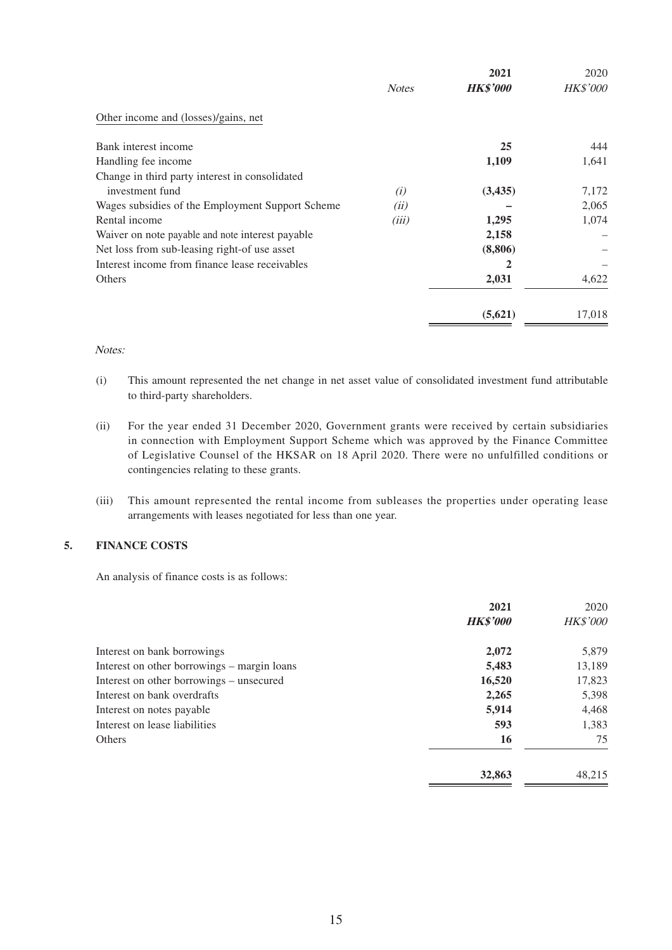|                                                  | <b>Notes</b> | 2021<br><b>HK\$'000</b> | 2020<br><b>HK\$'000</b> |
|--------------------------------------------------|--------------|-------------------------|-------------------------|
| Other income and (losses)/gains, net             |              |                         |                         |
| Bank interest income                             |              | 25                      | 444                     |
| Handling fee income                              |              | 1,109                   | 1,641                   |
| Change in third party interest in consolidated   |              |                         |                         |
| investment fund                                  | (i)          | (3, 435)                | 7,172                   |
| Wages subsidies of the Employment Support Scheme | (ii)         |                         | 2,065                   |
| Rental income                                    | (iii)        | 1,295                   | 1,074                   |
| Waiver on note payable and note interest payable |              | 2,158                   |                         |
| Net loss from sub-leasing right-of use asset     |              | (8,806)                 |                         |
| Interest income from finance lease receivables   |              | 2                       |                         |
| Others                                           |              | 2,031                   | 4,622                   |
|                                                  |              | (5,621)                 | 17,018                  |

#### Notes:

- (i) This amount represented the net change in net asset value of consolidated investment fund attributable to third-party shareholders.
- (ii) For the year ended 31 December 2020, Government grants were received by certain subsidiaries in connection with Employment Support Scheme which was approved by the Finance Committee of Legislative Counsel of the HKSAR on 18 April 2020. There were no unfulfilled conditions or contingencies relating to these grants.
- (iii) This amount represented the rental income from subleases the properties under operating lease arrangements with leases negotiated for less than one year.

### **5. FINANCE COSTS**

An analysis of finance costs is as follows:

|                                             | 2021<br><b>HK\$'000</b> | 2020<br><b>HK\$'000</b> |
|---------------------------------------------|-------------------------|-------------------------|
|                                             |                         |                         |
| Interest on bank borrowings                 | 2,072                   | 5,879                   |
| Interest on other borrowings – margin loans | 5,483                   | 13,189                  |
| Interest on other borrowings – unsecured    | 16,520                  | 17,823                  |
| Interest on bank overdrafts                 | 2,265                   | 5,398                   |
| Interest on notes payable                   | 5,914                   | 4,468                   |
| Interest on lease liabilities               | 593                     | 1,383                   |
| <b>Others</b>                               | 16                      | 75                      |
|                                             | 32,863                  | 48.215                  |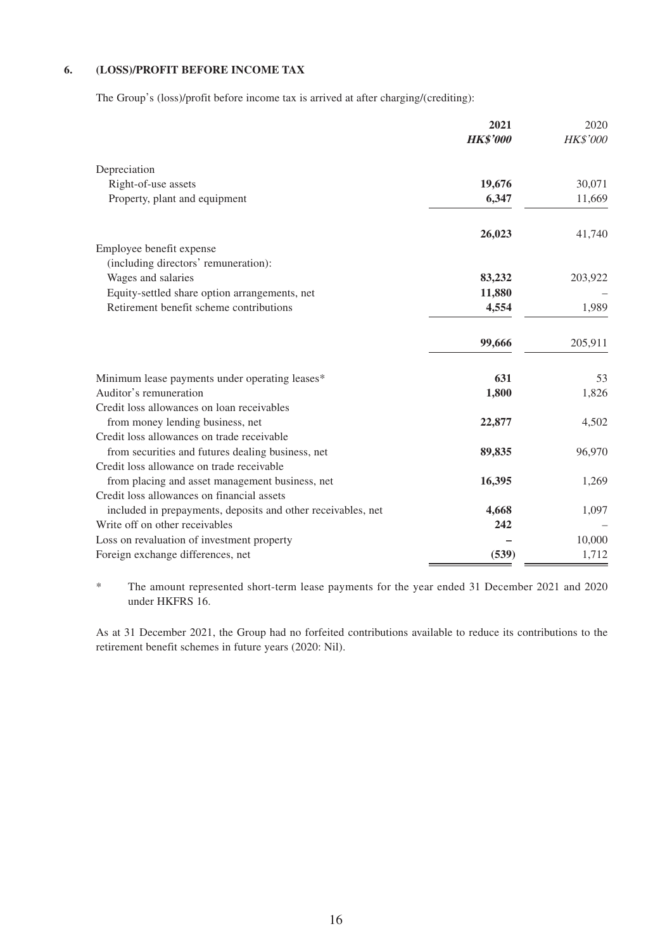### **6. (LOSS)/PROFIT BEFORE INCOME TAX**

The Group's (loss)/profit before income tax is arrived at after charging/(crediting):

|                                                              | 2021<br><b>HK\$'000</b> | 2020<br><b>HK\$'000</b> |
|--------------------------------------------------------------|-------------------------|-------------------------|
|                                                              |                         |                         |
| Depreciation                                                 |                         |                         |
| Right-of-use assets                                          | 19,676                  | 30,071                  |
| Property, plant and equipment                                | 6,347                   | 11,669                  |
|                                                              | 26,023                  | 41,740                  |
| Employee benefit expense                                     |                         |                         |
| (including directors' remuneration):                         |                         |                         |
| Wages and salaries                                           | 83,232                  | 203,922                 |
| Equity-settled share option arrangements, net                | 11,880                  |                         |
| Retirement benefit scheme contributions                      | 4,554                   | 1,989                   |
|                                                              | 99,666                  | 205,911                 |
| Minimum lease payments under operating leases*               | 631                     | 53                      |
| Auditor's remuneration                                       | 1,800                   | 1,826                   |
| Credit loss allowances on loan receivables                   |                         |                         |
| from money lending business, net                             | 22,877                  | 4,502                   |
| Credit loss allowances on trade receivable                   |                         |                         |
| from securities and futures dealing business, net            | 89,835                  | 96,970                  |
| Credit loss allowance on trade receivable                    |                         |                         |
| from placing and asset management business, net              | 16,395                  | 1,269                   |
| Credit loss allowances on financial assets                   |                         |                         |
| included in prepayments, deposits and other receivables, net | 4,668                   | 1,097                   |
| Write off on other receivables                               | 242                     |                         |
| Loss on revaluation of investment property                   |                         | 10,000                  |
| Foreign exchange differences, net                            | (539)                   | 1,712                   |

\* The amount represented short-term lease payments for the year ended 31 December 2021 and 2020 under HKFRS 16.

As at 31 December 2021, the Group had no forfeited contributions available to reduce its contributions to the retirement benefit schemes in future years (2020: Nil).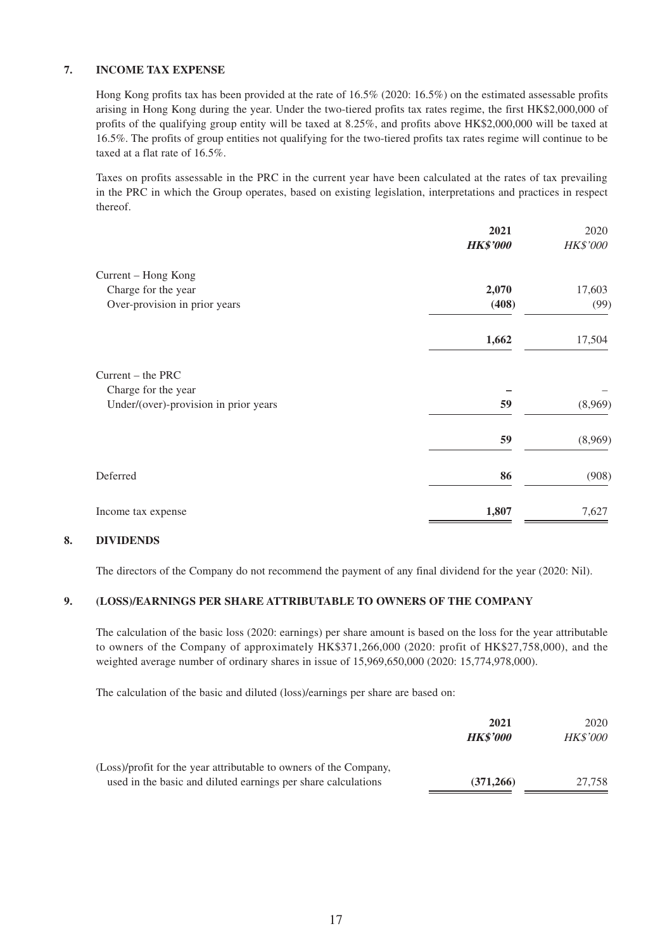## **7. INCOME TAX EXPENSE**

Hong Kong profits tax has been provided at the rate of 16.5% (2020: 16.5%) on the estimated assessable profits arising in Hong Kong during the year. Under the two-tiered profits tax rates regime, the first HK\$2,000,000 of profits of the qualifying group entity will be taxed at 8.25%, and profits above HK\$2,000,000 will be taxed at 16.5%. The profits of group entities not qualifying for the two-tiered profits tax rates regime will continue to be taxed at a flat rate of 16.5%.

Taxes on profits assessable in the PRC in the current year have been calculated at the rates of tax prevailing in the PRC in which the Group operates, based on existing legislation, interpretations and practices in respect thereof.

|                                       | 2021            | 2020            |
|---------------------------------------|-----------------|-----------------|
|                                       | <b>HK\$'000</b> | <b>HK\$'000</b> |
| Current - Hong Kong                   |                 |                 |
| Charge for the year                   | 2,070           | 17,603          |
| Over-provision in prior years         | (408)           | (99)            |
|                                       | 1,662           | 17,504          |
| $Current - the PRC$                   |                 |                 |
| Charge for the year                   |                 |                 |
| Under/(over)-provision in prior years | 59              | (8,969)         |
|                                       | 59              | (8,969)         |
| Deferred                              | 86              | (908)           |
| Income tax expense                    | 1,807           | 7,627           |

## **8. DIVIDENDS**

The directors of the Company do not recommend the payment of any final dividend for the year (2020: Nil).

#### **9. (LOSS)/EARNINGS PER SHARE ATTRIBUTABLE TO OWNERS OF THE COMPANY**

The calculation of the basic loss (2020: earnings) per share amount is based on the loss for the year attributable to owners of the Company of approximately HK\$371,266,000 (2020: profit of HK\$27,758,000), and the weighted average number of ordinary shares in issue of 15,969,650,000 (2020: 15,774,978,000).

The calculation of the basic and diluted (loss)/earnings per share are based on:

|                                                                   | 2021            | 2020            |
|-------------------------------------------------------------------|-----------------|-----------------|
|                                                                   | <b>HK\$'000</b> | <b>HK\$'000</b> |
| (Loss)/profit for the year attributable to owners of the Company, |                 |                 |
| used in the basic and diluted earnings per share calculations     | (371, 266)      | 27.758          |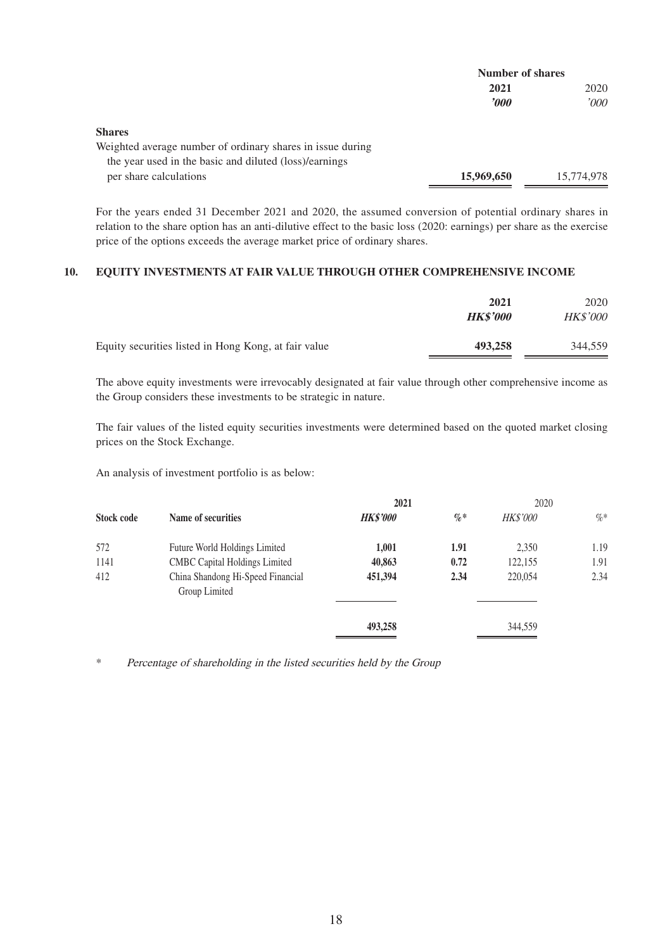|                                                            | <b>Number of shares</b> |            |
|------------------------------------------------------------|-------------------------|------------|
|                                                            | 2021                    | 2020       |
|                                                            | $\bm{v}$                | 2000'      |
| <b>Shares</b>                                              |                         |            |
| Weighted average number of ordinary shares in issue during |                         |            |
| the year used in the basic and diluted (loss)/earnings     |                         |            |
| per share calculations                                     | 15,969,650              | 15,774,978 |

For the years ended 31 December 2021 and 2020, the assumed conversion of potential ordinary shares in relation to the share option has an anti-dilutive effect to the basic loss (2020: earnings) per share as the exercise price of the options exceeds the average market price of ordinary shares.

#### **10. EQUITY INVESTMENTS AT FAIR VALUE THROUGH OTHER COMPREHENSIVE INCOME**

|                                                      | 2021<br><b>HK\$'000</b> | 2020<br><b>HK\$'000</b> |
|------------------------------------------------------|-------------------------|-------------------------|
| Equity securities listed in Hong Kong, at fair value | 493,258                 | 344,559                 |

The above equity investments were irrevocably designated at fair value through other comprehensive income as the Group considers these investments to be strategic in nature.

The fair values of the listed equity securities investments were determined based on the quoted market closing prices on the Stock Exchange.

An analysis of investment portfolio is as below:

|                   |                                                    | 2021            |        | 2020            |        |
|-------------------|----------------------------------------------------|-----------------|--------|-----------------|--------|
| <b>Stock code</b> | Name of securities                                 | <b>HK\$'000</b> | $\% *$ | <b>HK\$'000</b> | $\%$ * |
| 572               | Future World Holdings Limited                      | 1,001           | 1.91   | 2,350           | 1.19   |
| 1141              | <b>CMBC Capital Holdings Limited</b>               | 40,863          | 0.72   | 122,155         | 1.91   |
| 412               | China Shandong Hi-Speed Financial<br>Group Limited | 451,394         | 2.34   | 220,054         | 2.34   |
|                   |                                                    | 493,258         |        | 344,559         |        |

\* Percentage of shareholding in the listed securities held by the Group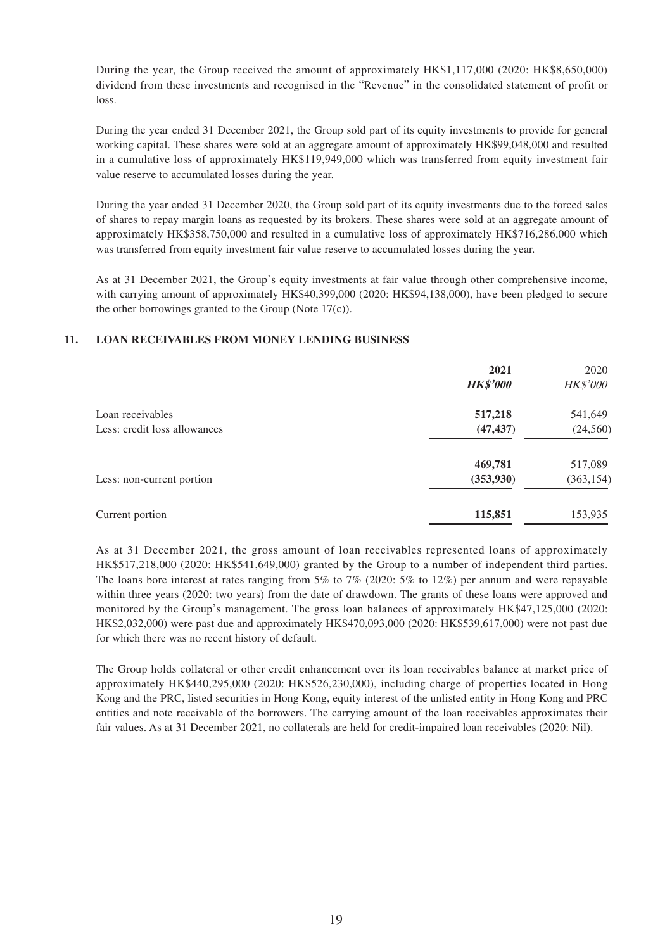During the year, the Group received the amount of approximately HK\$1,117,000 (2020: HK\$8,650,000) dividend from these investments and recognised in the "Revenue" in the consolidated statement of profit or loss.

During the year ended 31 December 2021, the Group sold part of its equity investments to provide for general working capital. These shares were sold at an aggregate amount of approximately HK\$99,048,000 and resulted in a cumulative loss of approximately HK\$119,949,000 which was transferred from equity investment fair value reserve to accumulated losses during the year.

During the year ended 31 December 2020, the Group sold part of its equity investments due to the forced sales of shares to repay margin loans as requested by its brokers. These shares were sold at an aggregate amount of approximately HK\$358,750,000 and resulted in a cumulative loss of approximately HK\$716,286,000 which was transferred from equity investment fair value reserve to accumulated losses during the year.

As at 31 December 2021, the Group's equity investments at fair value through other comprehensive income, with carrying amount of approximately HK\$40,399,000 (2020: HK\$94,138,000), have been pledged to secure the other borrowings granted to the Group (Note 17(c)).

#### **11. LOAN RECEIVABLES FROM MONEY LENDING BUSINESS**

|                              | 2021            | 2020            |
|------------------------------|-----------------|-----------------|
|                              | <b>HK\$'000</b> | <b>HK\$'000</b> |
| Loan receivables             | 517,218         | 541,649         |
| Less: credit loss allowances | (47, 437)       | (24, 560)       |
|                              | 469,781         | 517,089         |
| Less: non-current portion    | (353, 930)      | (363, 154)      |
| Current portion              | 115,851         | 153,935         |

As at 31 December 2021, the gross amount of loan receivables represented loans of approximately HK\$517,218,000 (2020: HK\$541,649,000) granted by the Group to a number of independent third parties. The loans bore interest at rates ranging from 5% to 7% (2020: 5% to 12%) per annum and were repayable within three years (2020: two years) from the date of drawdown. The grants of these loans were approved and monitored by the Group's management. The gross loan balances of approximately HK\$47,125,000 (2020: HK\$2,032,000) were past due and approximately HK\$470,093,000 (2020: HK\$539,617,000) were not past due for which there was no recent history of default.

The Group holds collateral or other credit enhancement over its loan receivables balance at market price of approximately HK\$440,295,000 (2020: HK\$526,230,000), including charge of properties located in Hong Kong and the PRC, listed securities in Hong Kong, equity interest of the unlisted entity in Hong Kong and PRC entities and note receivable of the borrowers. The carrying amount of the loan receivables approximates their fair values. As at 31 December 2021, no collaterals are held for credit-impaired loan receivables (2020: Nil).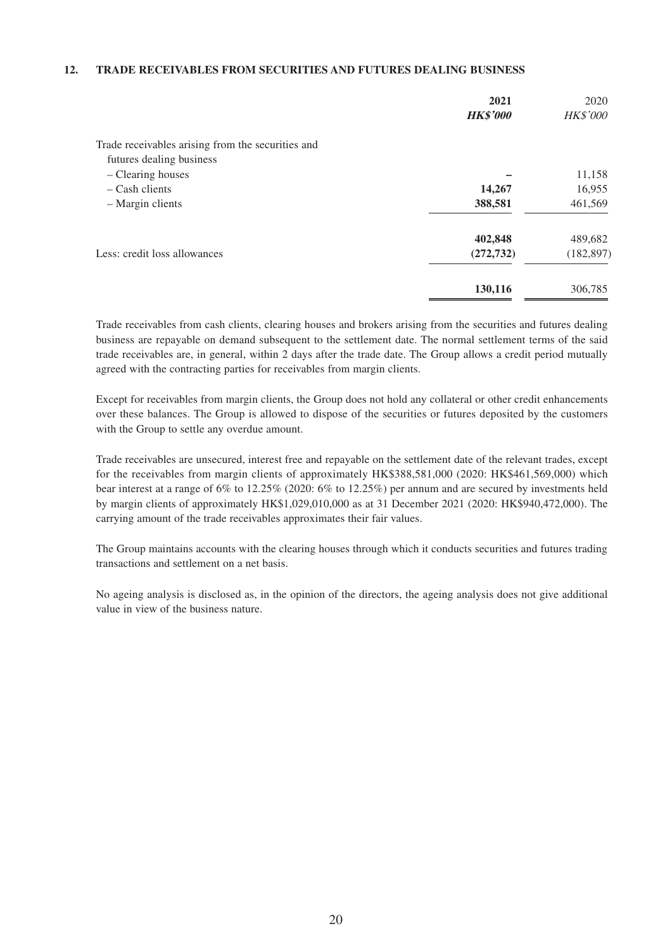#### **12. TRADE RECEIVABLES FROM SECURITIES AND FUTURES DEALING BUSINESS**

|                                                   | 2021<br><b>HK\$'000</b> | 2020<br><b>HK\$'000</b> |
|---------------------------------------------------|-------------------------|-------------------------|
| Trade receivables arising from the securities and |                         |                         |
| futures dealing business                          |                         |                         |
| - Clearing houses                                 |                         | 11,158                  |
| $-$ Cash clients                                  | 14,267                  | 16,955                  |
| - Margin clients                                  | 388,581                 | 461,569                 |
|                                                   | 402,848                 | 489,682                 |
| Less: credit loss allowances                      | (272, 732)              | (182, 897)              |
|                                                   | 130,116                 | 306,785                 |

Trade receivables from cash clients, clearing houses and brokers arising from the securities and futures dealing business are repayable on demand subsequent to the settlement date. The normal settlement terms of the said trade receivables are, in general, within 2 days after the trade date. The Group allows a credit period mutually agreed with the contracting parties for receivables from margin clients.

Except for receivables from margin clients, the Group does not hold any collateral or other credit enhancements over these balances. The Group is allowed to dispose of the securities or futures deposited by the customers with the Group to settle any overdue amount.

Trade receivables are unsecured, interest free and repayable on the settlement date of the relevant trades, except for the receivables from margin clients of approximately HK\$388,581,000 (2020: HK\$461,569,000) which bear interest at a range of 6% to 12.25% (2020: 6% to 12.25%) per annum and are secured by investments held by margin clients of approximately HK\$1,029,010,000 as at 31 December 2021 (2020: HK\$940,472,000). The carrying amount of the trade receivables approximates their fair values.

The Group maintains accounts with the clearing houses through which it conducts securities and futures trading transactions and settlement on a net basis.

No ageing analysis is disclosed as, in the opinion of the directors, the ageing analysis does not give additional value in view of the business nature.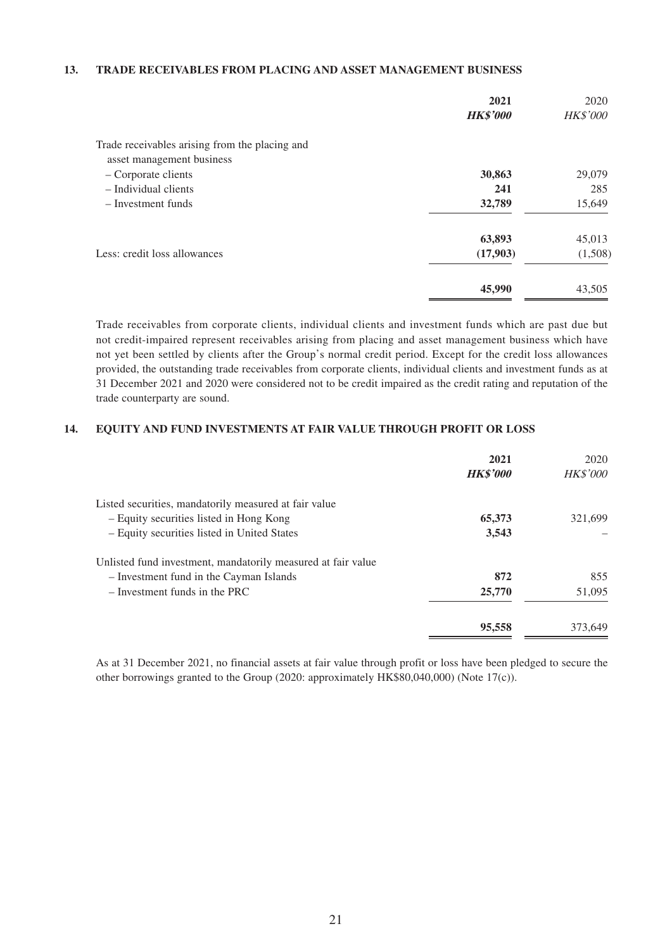#### **13. TRADE RECEIVABLES FROM PLACING AND ASSET MANAGEMENT BUSINESS**

|                                                | 2021<br><b>HK\$'000</b> | 2020<br><b>HK\$'000</b> |
|------------------------------------------------|-------------------------|-------------------------|
| Trade receivables arising from the placing and |                         |                         |
| asset management business                      |                         |                         |
| - Corporate clients                            | 30,863                  | 29,079                  |
| - Individual clients                           | 241                     | 285                     |
| $-$ Investment funds                           | 32,789                  | 15,649                  |
|                                                | 63,893                  | 45,013                  |
| Less: credit loss allowances                   | (17,903)                | (1,508)                 |
|                                                | 45,990                  | 43,505                  |

Trade receivables from corporate clients, individual clients and investment funds which are past due but not credit-impaired represent receivables arising from placing and asset management business which have not yet been settled by clients after the Group's normal credit period. Except for the credit loss allowances provided, the outstanding trade receivables from corporate clients, individual clients and investment funds as at 31 December 2021 and 2020 were considered not to be credit impaired as the credit rating and reputation of the trade counterparty are sound.

## **14. EQUITY AND FUND INVESTMENTS AT FAIR VALUE THROUGH PROFIT OR LOSS**

| 2021<br><b>HK\$'000</b> | 2020<br><b>HK\$'000</b> |
|-------------------------|-------------------------|
|                         |                         |
| 65,373                  | 321.699                 |
| 3,543                   |                         |
|                         |                         |
| 872                     | 855                     |
| 25,770                  | 51,095                  |
| 95,558                  | 373,649                 |
|                         |                         |

As at 31 December 2021, no financial assets at fair value through profit or loss have been pledged to secure the other borrowings granted to the Group (2020: approximately HK\$80,040,000) (Note 17(c)).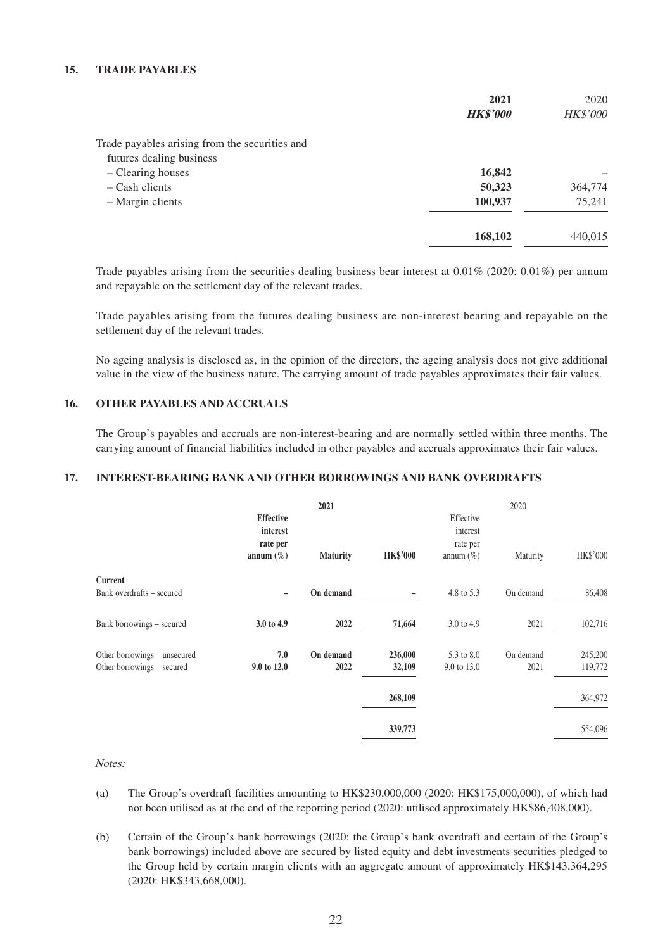#### **15. TRADE PAYABLES**

|                                                | 2021            | 2020     |
|------------------------------------------------|-----------------|----------|
|                                                | <b>HK\$'000</b> | HK\$'000 |
| Trade payables arising from the securities and |                 |          |
| futures dealing business                       |                 |          |
| - Clearing houses                              | 16,842          |          |
| $-$ Cash clients                               | 50,323          | 364,774  |
| - Margin clients                               | 100,937         | 75,241   |
|                                                | 168,102         | 440,015  |

Trade payables arising from the securities dealing business bear interest at  $0.01\%$  (2020: 0.01%) per annum and repayable on the settlement day of the relevant trades.

Trade payables arising from the futures dealing business are non-interest bearing and repayable on the settlement day of the relevant trades.

No ageing analysis is disclosed as, in the opinion of the directors, the ageing analysis does not give additional value in the view of the business nature. The carrying amount of trade payables approximates their fair values.

### **16. OTHER PAYABLES AND ACCRUALS**

The Group's payables and accruals are non-interest-bearing and are normally settled within three months. The carrying amount of financial liabilities included in other payables and accruals approximates their fair values.

## **17. INTEREST-BEARING BANK AND OTHER BORROWINGS AND BANK OVERDRAFTS**

|                                                            | <b>Effective</b><br>interest<br>rate per<br>annum $(\% )$ | 2021<br><b>Maturity</b> | <b>HK\$'000</b>   | Effective<br>interest<br>rate per<br>annum $(\%)$ | 2020<br>Maturity  | HK\$'000           |
|------------------------------------------------------------|-----------------------------------------------------------|-------------------------|-------------------|---------------------------------------------------|-------------------|--------------------|
| Current                                                    |                                                           |                         |                   |                                                   |                   |                    |
| Bank overdrafts – secured                                  | -                                                         | On demand               |                   | 4.8 to 5.3                                        | On demand         | 86,408             |
| Bank borrowings - secured                                  | 3.0 to 4.9                                                | 2022                    | 71,664            | 3.0 to 4.9                                        | 2021              | 102,716            |
| Other borrowings - unsecured<br>Other borrowings - secured | 7.0<br>9.0 to 12.0                                        | On demand<br>2022       | 236,000<br>32,109 | 5.3 to 8.0<br>9.0 to 13.0                         | On demand<br>2021 | 245,200<br>119,772 |
|                                                            |                                                           |                         | 268,109           |                                                   |                   | 364,972            |
|                                                            |                                                           |                         | 339,773           |                                                   |                   | 554,096            |

Notes:

- (a) The Group's overdraft facilities amounting to HK\$230,000,000 (2020: HK\$175,000,000), of which had not been utilised as at the end of the reporting period (2020: utilised approximately HK\$86,408,000).
- (b) Certain of the Group's bank borrowings (2020: the Group's bank overdraft and certain of the Group's bank borrowings) included above are secured by listed equity and debt investments securities pledged to the Group held by certain margin clients with an aggregate amount of approximately HK\$143,364,295 (2020: HK\$343,668,000).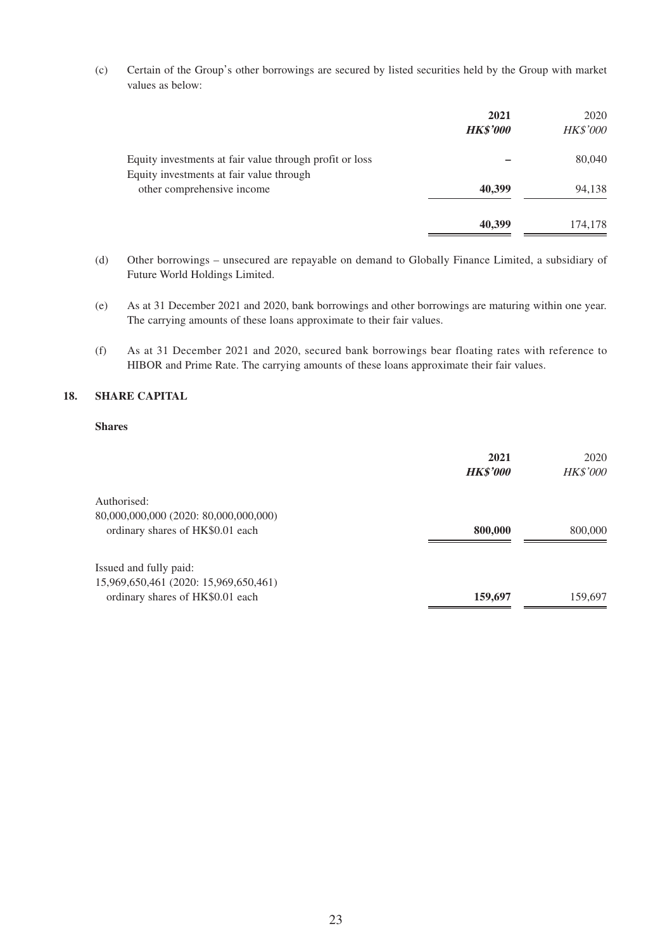(c) Certain of the Group's other borrowings are secured by listed securities held by the Group with market values as below:

|                                                                        | 2021<br><b>HK\$'000</b> | 2020<br><b>HK\$'000</b> |
|------------------------------------------------------------------------|-------------------------|-------------------------|
| Equity investments at fair value through profit or loss                |                         | 80,040                  |
| Equity investments at fair value through<br>other comprehensive income | 40,399                  | 94,138                  |
|                                                                        | 40,399                  | 174,178                 |

- (d) Other borrowings unsecured are repayable on demand to Globally Finance Limited, a subsidiary of Future World Holdings Limited.
- (e) As at 31 December 2021 and 2020, bank borrowings and other borrowings are maturing within one year. The carrying amounts of these loans approximate to their fair values.
- (f) As at 31 December 2021 and 2020, secured bank borrowings bear floating rates with reference to HIBOR and Prime Rate. The carrying amounts of these loans approximate their fair values.

### **18. SHARE CAPITAL**

#### **Shares**

|                                       | 2021            | 2020            |
|---------------------------------------|-----------------|-----------------|
|                                       | <b>HK\$'000</b> | <b>HK\$'000</b> |
| Authorised:                           |                 |                 |
| 80,000,000,000 (2020: 80,000,000,000) |                 |                 |
| ordinary shares of HK\$0.01 each      | 800,000         | 800,000         |
| Issued and fully paid:                |                 |                 |
| 15,969,650,461 (2020: 15,969,650,461) |                 |                 |
| ordinary shares of HK\$0.01 each      | 159,697         | 159,697         |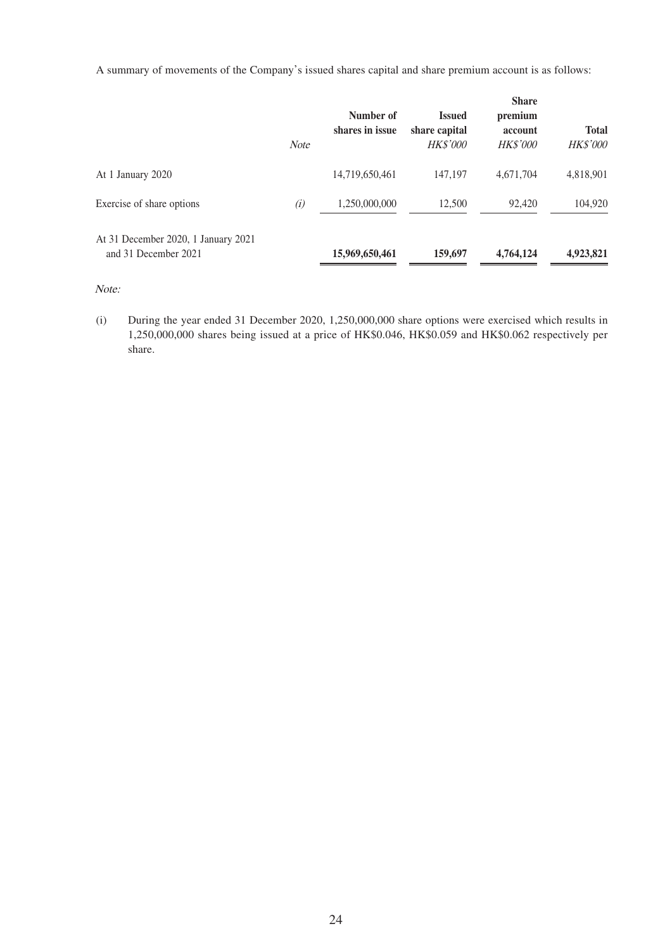A summary of movements of the Company's issued shares capital and share premium account is as follows:

|                                                             | <b>Note</b> | Number of<br>shares in issue | <b>Issued</b><br>share capital<br><b>HK\$'000</b> | <b>Share</b><br>premium<br>account<br><b>HK\$'000</b> | <b>Total</b><br><b>HK\$'000</b> |
|-------------------------------------------------------------|-------------|------------------------------|---------------------------------------------------|-------------------------------------------------------|---------------------------------|
| At 1 January 2020                                           |             | 14,719,650,461               | 147,197                                           | 4,671,704                                             | 4,818,901                       |
| Exercise of share options                                   | (i)         | 1,250,000,000                | 12,500                                            | 92,420                                                | 104,920                         |
| At 31 December 2020, 1 January 2021<br>and 31 December 2021 |             | 15,969,650,461               | 159,697                                           | 4,764,124                                             | 4,923,821                       |

Note:

(i) During the year ended 31 December 2020, 1,250,000,000 share options were exercised which results in 1,250,000,000 shares being issued at a price of HK\$0.046, HK\$0.059 and HK\$0.062 respectively per share.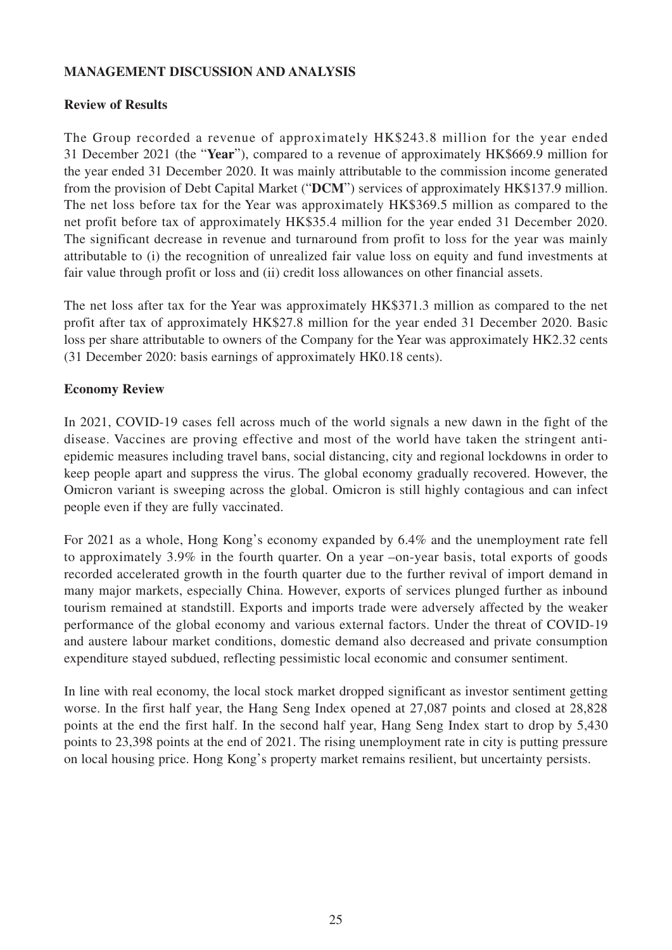## **MANAGEMENT DISCUSSION AND ANALYSIS**

# **Review of Results**

The Group recorded a revenue of approximately HK\$243.8 million for the year ended 31 December 2021 (the "**Year**"), compared to a revenue of approximately HK\$669.9 million for the year ended 31 December 2020. It was mainly attributable to the commission income generated from the provision of Debt Capital Market ("**DCM**") services of approximately HK\$137.9 million. The net loss before tax for the Year was approximately HK\$369.5 million as compared to the net profit before tax of approximately HK\$35.4 million for the year ended 31 December 2020. The significant decrease in revenue and turnaround from profit to loss for the year was mainly attributable to (i) the recognition of unrealized fair value loss on equity and fund investments at fair value through profit or loss and (ii) credit loss allowances on other financial assets.

The net loss after tax for the Year was approximately HK\$371.3 million as compared to the net profit after tax of approximately HK\$27.8 million for the year ended 31 December 2020. Basic loss per share attributable to owners of the Company for the Year was approximately HK2.32 cents (31 December 2020: basis earnings of approximately HK0.18 cents).

# **Economy Review**

In 2021, COVID-19 cases fell across much of the world signals a new dawn in the fight of the disease. Vaccines are proving effective and most of the world have taken the stringent antiepidemic measures including travel bans, social distancing, city and regional lockdowns in order to keep people apart and suppress the virus. The global economy gradually recovered. However, the Omicron variant is sweeping across the global. Omicron is still highly contagious and can infect people even if they are fully vaccinated.

For 2021 as a whole, Hong Kong's economy expanded by 6.4% and the unemployment rate fell to approximately 3.9% in the fourth quarter. On a year –on-year basis, total exports of goods recorded accelerated growth in the fourth quarter due to the further revival of import demand in many major markets, especially China. However, exports of services plunged further as inbound tourism remained at standstill. Exports and imports trade were adversely affected by the weaker performance of the global economy and various external factors. Under the threat of COVID-19 and austere labour market conditions, domestic demand also decreased and private consumption expenditure stayed subdued, reflecting pessimistic local economic and consumer sentiment.

In line with real economy, the local stock market dropped significant as investor sentiment getting worse. In the first half year, the Hang Seng Index opened at 27,087 points and closed at 28,828 points at the end the first half. In the second half year, Hang Seng Index start to drop by 5,430 points to 23,398 points at the end of 2021. The rising unemployment rate in city is putting pressure on local housing price. Hong Kong's property market remains resilient, but uncertainty persists.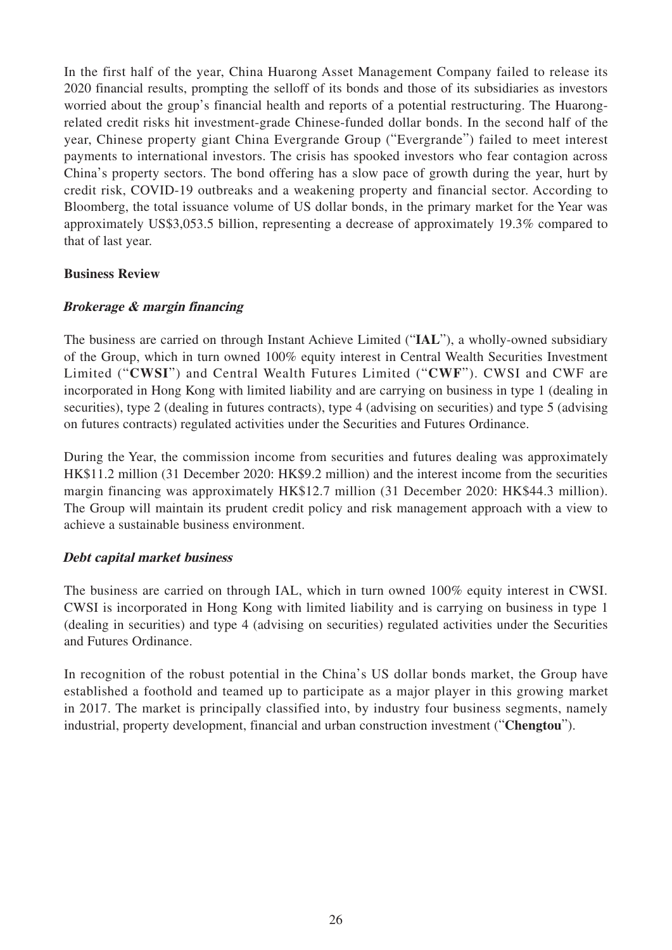In the first half of the year, China Huarong Asset Management Company failed to release its 2020 financial results, prompting the selloff of its bonds and those of its subsidiaries as investors worried about the group's financial health and reports of a potential restructuring. The Huarongrelated credit risks hit investment-grade Chinese-funded dollar bonds. In the second half of the year, Chinese property giant China Evergrande Group ("Evergrande") failed to meet interest payments to international investors. The crisis has spooked investors who fear contagion across China's property sectors. The bond offering has a slow pace of growth during the year, hurt by credit risk, COVID-19 outbreaks and a weakening property and financial sector. According to Bloomberg, the total issuance volume of US dollar bonds, in the primary market for the Year was approximately US\$3,053.5 billion, representing a decrease of approximately 19.3% compared to that of last year.

## **Business Review**

## **Brokerage & margin financing**

The business are carried on through Instant Achieve Limited ("**IAL**"), a wholly-owned subsidiary of the Group, which in turn owned 100% equity interest in Central Wealth Securities Investment Limited ("**CWSI**") and Central Wealth Futures Limited ("**CWF**"). CWSI and CWF are incorporated in Hong Kong with limited liability and are carrying on business in type 1 (dealing in securities), type 2 (dealing in futures contracts), type 4 (advising on securities) and type 5 (advising on futures contracts) regulated activities under the Securities and Futures Ordinance.

During the Year, the commission income from securities and futures dealing was approximately HK\$11.2 million (31 December 2020: HK\$9.2 million) and the interest income from the securities margin financing was approximately HK\$12.7 million (31 December 2020: HK\$44.3 million). The Group will maintain its prudent credit policy and risk management approach with a view to achieve a sustainable business environment.

## **Debt capital market business**

The business are carried on through IAL, which in turn owned 100% equity interest in CWSI. CWSI is incorporated in Hong Kong with limited liability and is carrying on business in type 1 (dealing in securities) and type 4 (advising on securities) regulated activities under the Securities and Futures Ordinance.

In recognition of the robust potential in the China's US dollar bonds market, the Group have established a foothold and teamed up to participate as a major player in this growing market in 2017. The market is principally classified into, by industry four business segments, namely industrial, property development, financial and urban construction investment ("**Chengtou**").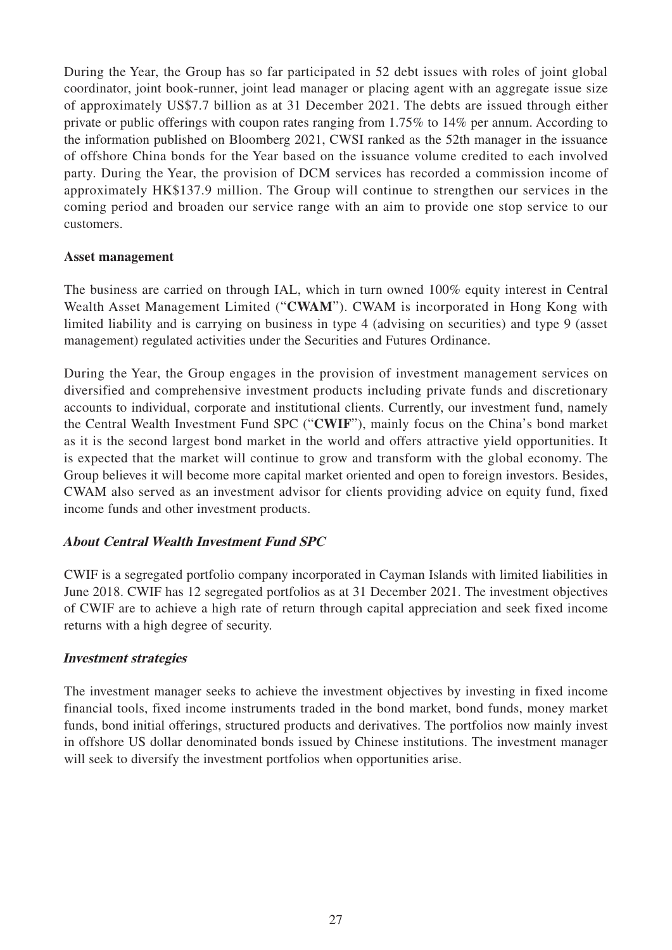During the Year, the Group has so far participated in 52 debt issues with roles of joint global coordinator, joint book-runner, joint lead manager or placing agent with an aggregate issue size of approximately US\$7.7 billion as at 31 December 2021. The debts are issued through either private or public offerings with coupon rates ranging from 1.75% to 14% per annum. According to the information published on Bloomberg 2021, CWSI ranked as the 52th manager in the issuance of offshore China bonds for the Year based on the issuance volume credited to each involved party. During the Year, the provision of DCM services has recorded a commission income of approximately HK\$137.9 million. The Group will continue to strengthen our services in the coming period and broaden our service range with an aim to provide one stop service to our customers.

## **Asset management**

The business are carried on through IAL, which in turn owned 100% equity interest in Central Wealth Asset Management Limited ("**CWAM**"). CWAM is incorporated in Hong Kong with limited liability and is carrying on business in type 4 (advising on securities) and type 9 (asset management) regulated activities under the Securities and Futures Ordinance.

During the Year, the Group engages in the provision of investment management services on diversified and comprehensive investment products including private funds and discretionary accounts to individual, corporate and institutional clients. Currently, our investment fund, namely the Central Wealth Investment Fund SPC ("**CWIF**"), mainly focus on the China's bond market as it is the second largest bond market in the world and offers attractive yield opportunities. It is expected that the market will continue to grow and transform with the global economy. The Group believes it will become more capital market oriented and open to foreign investors. Besides, CWAM also served as an investment advisor for clients providing advice on equity fund, fixed income funds and other investment products.

## **About Central Wealth Investment Fund SPC**

CWIF is a segregated portfolio company incorporated in Cayman Islands with limited liabilities in June 2018. CWIF has 12 segregated portfolios as at 31 December 2021. The investment objectives of CWIF are to achieve a high rate of return through capital appreciation and seek fixed income returns with a high degree of security.

## **Investment strategies**

The investment manager seeks to achieve the investment objectives by investing in fixed income financial tools, fixed income instruments traded in the bond market, bond funds, money market funds, bond initial offerings, structured products and derivatives. The portfolios now mainly invest in offshore US dollar denominated bonds issued by Chinese institutions. The investment manager will seek to diversify the investment portfolios when opportunities arise.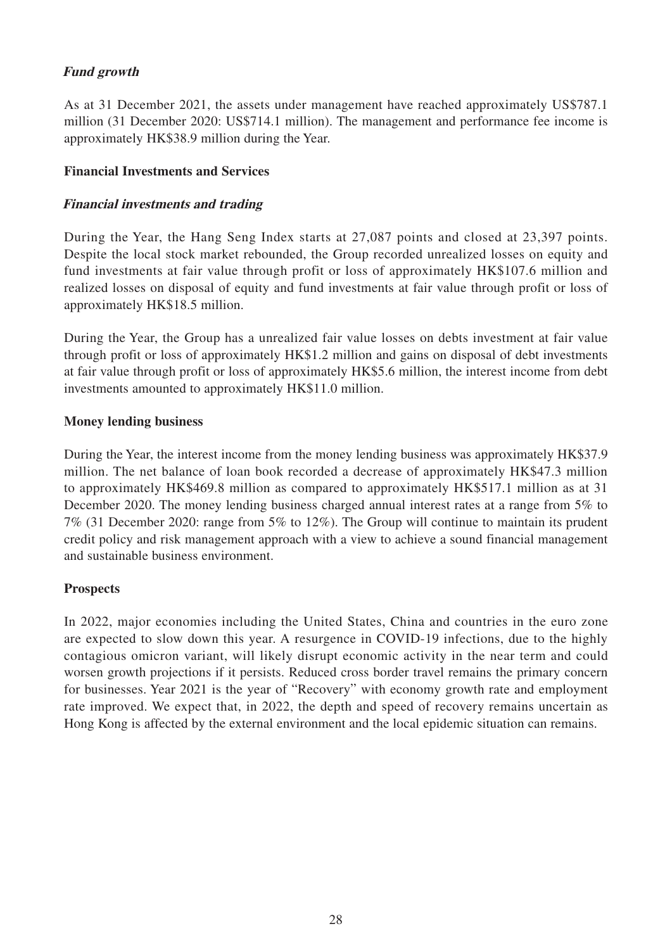# **Fund growth**

As at 31 December 2021, the assets under management have reached approximately US\$787.1 million (31 December 2020: US\$714.1 million). The management and performance fee income is approximately HK\$38.9 million during the Year.

# **Financial Investments and Services**

# **Financial investments and trading**

During the Year, the Hang Seng Index starts at 27,087 points and closed at 23,397 points. Despite the local stock market rebounded, the Group recorded unrealized losses on equity and fund investments at fair value through profit or loss of approximately HK\$107.6 million and realized losses on disposal of equity and fund investments at fair value through profit or loss of approximately HK\$18.5 million.

During the Year, the Group has a unrealized fair value losses on debts investment at fair value through profit or loss of approximately HK\$1.2 million and gains on disposal of debt investments at fair value through profit or loss of approximately HK\$5.6 million, the interest income from debt investments amounted to approximately HK\$11.0 million.

# **Money lending business**

During the Year, the interest income from the money lending business was approximately HK\$37.9 million. The net balance of loan book recorded a decrease of approximately HK\$47.3 million to approximately HK\$469.8 million as compared to approximately HK\$517.1 million as at 31 December 2020. The money lending business charged annual interest rates at a range from 5% to 7% (31 December 2020: range from 5% to 12%). The Group will continue to maintain its prudent credit policy and risk management approach with a view to achieve a sound financial management and sustainable business environment.

# **Prospects**

In 2022, major economies including the United States, China and countries in the euro zone are expected to slow down this year. A resurgence in COVID-19 infections, due to the highly contagious omicron variant, will likely disrupt economic activity in the near term and could worsen growth projections if it persists. Reduced cross border travel remains the primary concern for businesses. Year 2021 is the year of "Recovery" with economy growth rate and employment rate improved. We expect that, in 2022, the depth and speed of recovery remains uncertain as Hong Kong is affected by the external environment and the local epidemic situation can remains.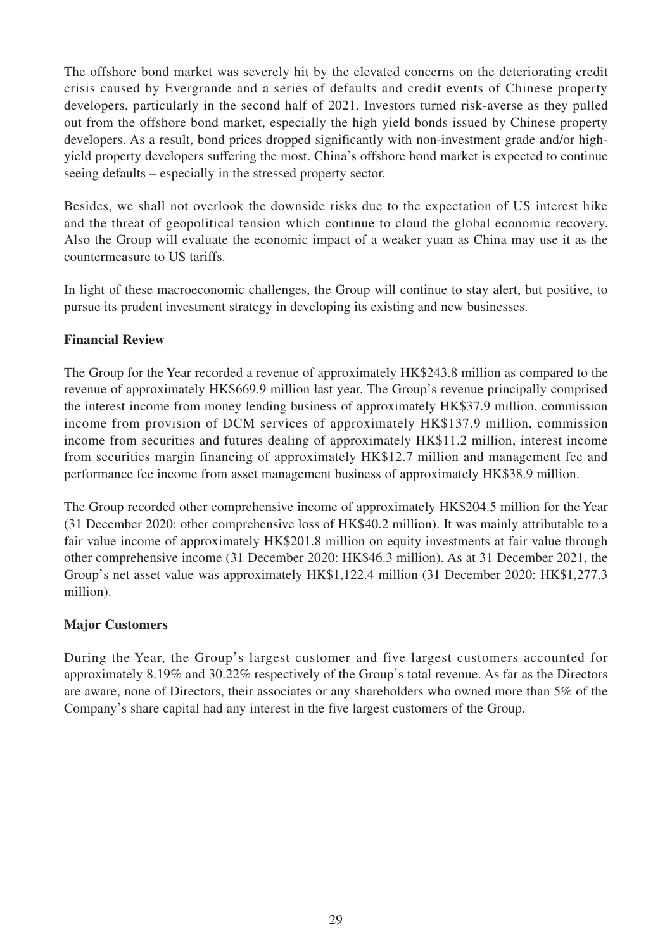The offshore bond market was severely hit by the elevated concerns on the deteriorating credit crisis caused by Evergrande and a series of defaults and credit events of Chinese property developers, particularly in the second half of 2021. Investors turned risk-averse as they pulled out from the offshore bond market, especially the high yield bonds issued by Chinese property developers. As a result, bond prices dropped significantly with non-investment grade and/or highyield property developers suffering the most. China's offshore bond market is expected to continue seeing defaults – especially in the stressed property sector.

Besides, we shall not overlook the downside risks due to the expectation of US interest hike and the threat of geopolitical tension which continue to cloud the global economic recovery. Also the Group will evaluate the economic impact of a weaker yuan as China may use it as the countermeasure to US tariffs.

In light of these macroeconomic challenges, the Group will continue to stay alert, but positive, to pursue its prudent investment strategy in developing its existing and new businesses.

# **Financial Review**

The Group for the Year recorded a revenue of approximately HK\$243.8 million as compared to the revenue of approximately HK\$669.9 million last year. The Group's revenue principally comprised the interest income from money lending business of approximately HK\$37.9 million, commission income from provision of DCM services of approximately HK\$137.9 million, commission income from securities and futures dealing of approximately HK\$11.2 million, interest income from securities margin financing of approximately HK\$12.7 million and management fee and performance fee income from asset management business of approximately HK\$38.9 million.

The Group recorded other comprehensive income of approximately HK\$204.5 million for the Year (31 December 2020: other comprehensive loss of HK\$40.2 million). It was mainly attributable to a fair value income of approximately HK\$201.8 million on equity investments at fair value through other comprehensive income (31 December 2020: HK\$46.3 million). As at 31 December 2021, the Group's net asset value was approximately HK\$1,122.4 million (31 December 2020: HK\$1,277.3 million).

## **Major Customers**

During the Year, the Group's largest customer and five largest customers accounted for approximately 8.19% and 30.22% respectively of the Group's total revenue. As far as the Directors are aware, none of Directors, their associates or any shareholders who owned more than 5% of the Company's share capital had any interest in the five largest customers of the Group.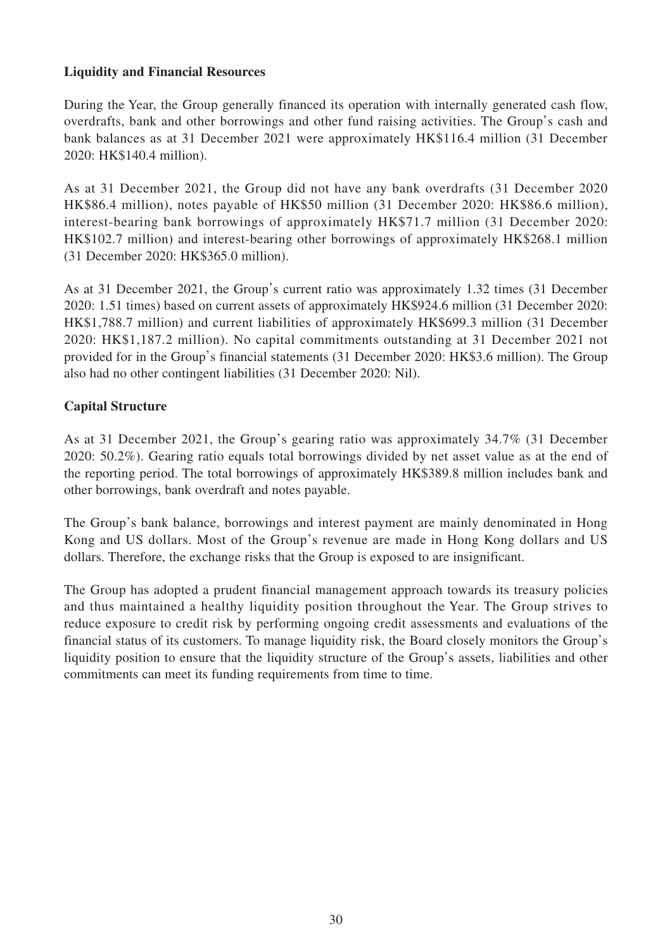# **Liquidity and Financial Resources**

During the Year, the Group generally financed its operation with internally generated cash flow, overdrafts, bank and other borrowings and other fund raising activities. The Group's cash and bank balances as at 31 December 2021 were approximately HK\$116.4 million (31 December 2020: HK\$140.4 million).

As at 31 December 2021, the Group did not have any bank overdrafts (31 December 2020 HK\$86.4 million), notes payable of HK\$50 million (31 December 2020: HK\$86.6 million), interest-bearing bank borrowings of approximately HK\$71.7 million (31 December 2020: HK\$102.7 million) and interest-bearing other borrowings of approximately HK\$268.1 million (31 December 2020: HK\$365.0 million).

As at 31 December 2021, the Group's current ratio was approximately 1.32 times (31 December 2020: 1.51 times) based on current assets of approximately HK\$924.6 million (31 December 2020: HK\$1,788.7 million) and current liabilities of approximately HK\$699.3 million (31 December 2020: HK\$1,187.2 million). No capital commitments outstanding at 31 December 2021 not provided for in the Group's financial statements (31 December 2020: HK\$3.6 million). The Group also had no other contingent liabilities (31 December 2020: Nil).

# **Capital Structure**

As at 31 December 2021, the Group's gearing ratio was approximately 34.7% (31 December 2020: 50.2%). Gearing ratio equals total borrowings divided by net asset value as at the end of the reporting period. The total borrowings of approximately HK\$389.8 million includes bank and other borrowings, bank overdraft and notes payable.

The Group's bank balance, borrowings and interest payment are mainly denominated in Hong Kong and US dollars. Most of the Group's revenue are made in Hong Kong dollars and US dollars. Therefore, the exchange risks that the Group is exposed to are insignificant.

The Group has adopted a prudent financial management approach towards its treasury policies and thus maintained a healthy liquidity position throughout the Year. The Group strives to reduce exposure to credit risk by performing ongoing credit assessments and evaluations of the financial status of its customers. To manage liquidity risk, the Board closely monitors the Group's liquidity position to ensure that the liquidity structure of the Group's assets, liabilities and other commitments can meet its funding requirements from time to time.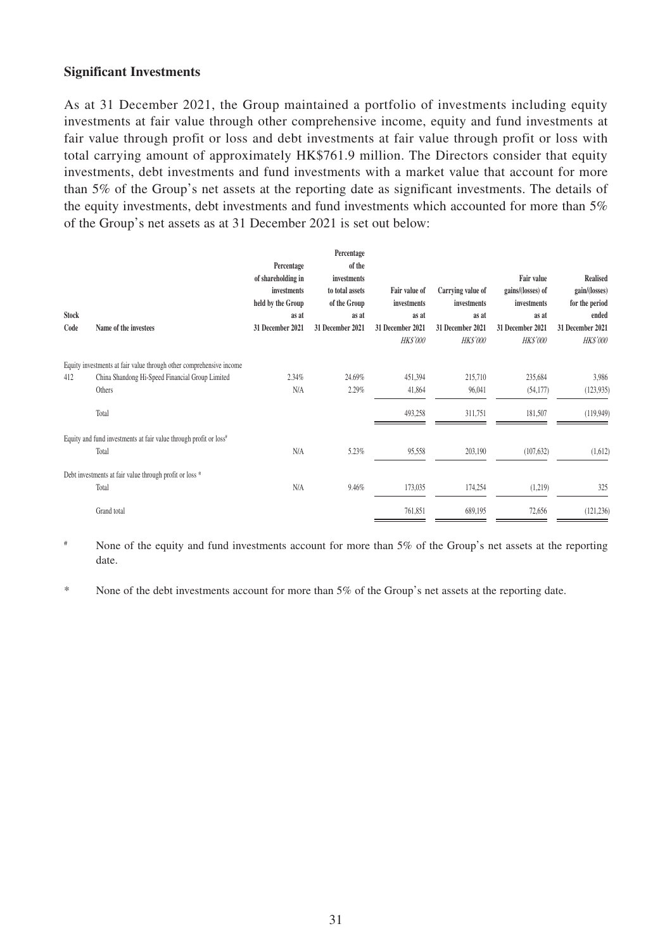## **Significant Investments**

As at 31 December 2021, the Group maintained a portfolio of investments including equity investments at fair value through other comprehensive income, equity and fund investments at fair value through profit or loss and debt investments at fair value through profit or loss with total carrying amount of approximately HK\$761.9 million. The Directors consider that equity investments, debt investments and fund investments with a market value that account for more than 5% of the Group's net assets at the reporting date as significant investments. The details of the equity investments, debt investments and fund investments which accounted for more than 5% of the Group's net assets as at 31 December 2021 is set out below:

|              |                                                                               |                    | Percentage       |                  |                   |                   |                  |
|--------------|-------------------------------------------------------------------------------|--------------------|------------------|------------------|-------------------|-------------------|------------------|
|              |                                                                               | Percentage         | of the           |                  |                   |                   |                  |
|              |                                                                               | of shareholding in | investments      |                  |                   | <b>Fair value</b> | <b>Realised</b>  |
|              |                                                                               | investments        | to total assets  | Fair value of    | Carrying value of | gains/(losses) of | gain/(losses)    |
|              |                                                                               | held by the Group  | of the Group     | investments      | investments       | investments       | for the period   |
| <b>Stock</b> |                                                                               | as at              | as at            | as at            | as at             | as at             | ended            |
| Code         | Name of the investees                                                         | 31 December 2021   | 31 December 2021 | 31 December 2021 | 31 December 2021  | 31 December 2021  | 31 December 2021 |
|              |                                                                               |                    |                  | <b>HK\$'000</b>  | <b>HK\$'000</b>   | <b>HK\$'000</b>   | <b>HK\$'000</b>  |
|              | Equity investments at fair value through other comprehensive income           |                    |                  |                  |                   |                   |                  |
| 412          | China Shandong Hi-Speed Financial Group Limited                               | 2.34%              | 24.69%           | 451,394          | 215,710           | 235,684           | 3,986            |
|              | Others                                                                        | N/A                | 2.29%            | 41,864           | 96,041            | (54, 177)         | (123, 935)       |
|              |                                                                               |                    |                  |                  |                   |                   |                  |
|              | Total                                                                         |                    |                  | 493,258          | 311,751           | 181,507           | (119, 949)       |
|              | Equity and fund investments at fair value through profit or loss <sup>#</sup> |                    |                  |                  |                   |                   |                  |
|              | Total                                                                         | N/A                | 5.23%            | 95,558           | 203,190           | (107, 632)        | (1,612)          |
|              | Debt investments at fair value through profit or loss *                       |                    |                  |                  |                   |                   |                  |
|              | Total                                                                         | N/A                | 9.46%            | 173,035          | 174,254           | (1,219)           | 325              |
|              | Grand total                                                                   |                    |                  | 761,851          | 689,195           | 72,656            | (121, 236)       |

# None of the equity and fund investments account for more than 5% of the Group's net assets at the reporting date.

\* None of the debt investments account for more than 5% of the Group's net assets at the reporting date.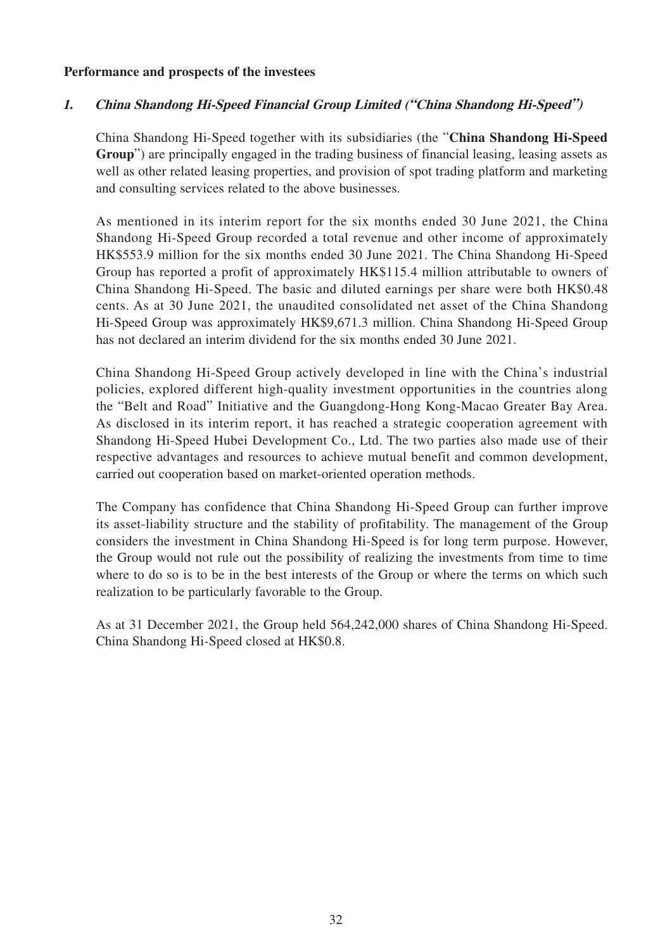## **Performance and prospects of the investees**

## **1. China Shandong Hi-Speed Financial Group Limited ("China Shandong Hi-Speed")**

China Shandong Hi-Speed together with its subsidiaries (the "**China Shandong Hi-Speed Group**") are principally engaged in the trading business of financial leasing, leasing assets as well as other related leasing properties, and provision of spot trading platform and marketing and consulting services related to the above businesses.

As mentioned in its interim report for the six months ended 30 June 2021, the China Shandong Hi-Speed Group recorded a total revenue and other income of approximately HK\$553.9 million for the six months ended 30 June 2021. The China Shandong Hi-Speed Group has reported a profit of approximately HK\$115.4 million attributable to owners of China Shandong Hi-Speed. The basic and diluted earnings per share were both HK\$0.48 cents. As at 30 June 2021, the unaudited consolidated net asset of the China Shandong Hi-Speed Group was approximately HK\$9,671.3 million. China Shandong Hi-Speed Group has not declared an interim dividend for the six months ended 30 June 2021.

China Shandong Hi-Speed Group actively developed in line with the China's industrial policies, explored different high-quality investment opportunities in the countries along the "Belt and Road" Initiative and the Guangdong-Hong Kong-Macao Greater Bay Area. As disclosed in its interim report, it has reached a strategic cooperation agreement with Shandong Hi-Speed Hubei Development Co., Ltd. The two parties also made use of their respective advantages and resources to achieve mutual benefit and common development, carried out cooperation based on market-oriented operation methods.

The Company has confidence that China Shandong Hi-Speed Group can further improve its asset-liability structure and the stability of profitability. The management of the Group considers the investment in China Shandong Hi-Speed is for long term purpose. However, the Group would not rule out the possibility of realizing the investments from time to time where to do so is to be in the best interests of the Group or where the terms on which such realization to be particularly favorable to the Group.

As at 31 December 2021, the Group held 564,242,000 shares of China Shandong Hi-Speed. China Shandong Hi-Speed closed at HK\$0.8.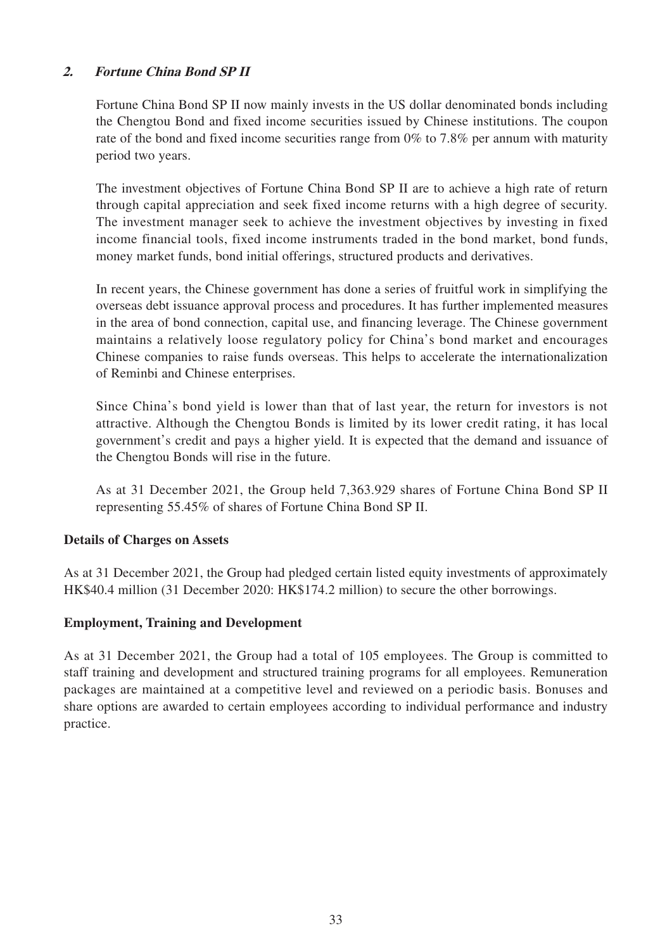# **2. Fortune China Bond SP II**

Fortune China Bond SP II now mainly invests in the US dollar denominated bonds including the Chengtou Bond and fixed income securities issued by Chinese institutions. The coupon rate of the bond and fixed income securities range from 0% to 7.8% per annum with maturity period two years.

The investment objectives of Fortune China Bond SP II are to achieve a high rate of return through capital appreciation and seek fixed income returns with a high degree of security. The investment manager seek to achieve the investment objectives by investing in fixed income financial tools, fixed income instruments traded in the bond market, bond funds, money market funds, bond initial offerings, structured products and derivatives.

In recent years, the Chinese government has done a series of fruitful work in simplifying the overseas debt issuance approval process and procedures. It has further implemented measures in the area of bond connection, capital use, and financing leverage. The Chinese government maintains a relatively loose regulatory policy for China's bond market and encourages Chinese companies to raise funds overseas. This helps to accelerate the internationalization of Reminbi and Chinese enterprises.

Since China's bond yield is lower than that of last year, the return for investors is not attractive. Although the Chengtou Bonds is limited by its lower credit rating, it has local government's credit and pays a higher yield. It is expected that the demand and issuance of the Chengtou Bonds will rise in the future.

As at 31 December 2021, the Group held 7,363.929 shares of Fortune China Bond SP II representing 55.45% of shares of Fortune China Bond SP II.

## **Details of Charges on Assets**

As at 31 December 2021, the Group had pledged certain listed equity investments of approximately HK\$40.4 million (31 December 2020: HK\$174.2 million) to secure the other borrowings.

## **Employment, Training and Development**

As at 31 December 2021, the Group had a total of 105 employees. The Group is committed to staff training and development and structured training programs for all employees. Remuneration packages are maintained at a competitive level and reviewed on a periodic basis. Bonuses and share options are awarded to certain employees according to individual performance and industry practice.